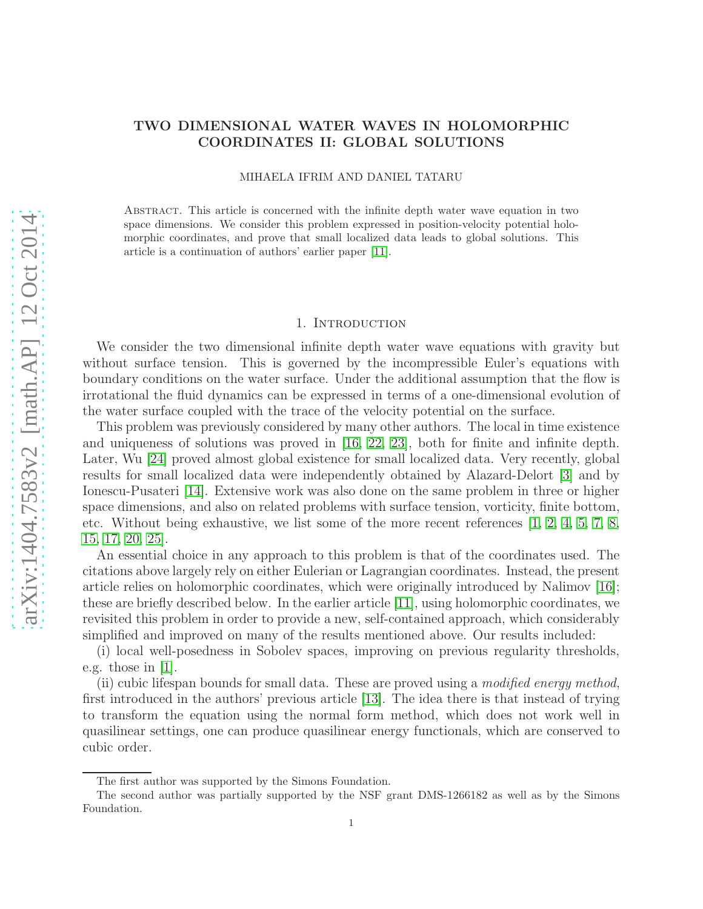# TWO DIMENSIONAL WATER WAVES IN HOLOMORPHIC COORDINATES II: GLOBAL SOLUTIONS

MIHAELA IFRIM AND DANIEL TATARU

Abstract. This article is concerned with the infinite depth water wave equation in two space dimensions. We consider this problem expressed in position-velocity potential holomorphic coordinates, and prove that small localized data leads to global solutions. This article is a continuation of authors' earlier paper [\[11\]](#page-19-0).

### 1. INTRODUCTION

We consider the two dimensional infinite depth water wave equations with gravity but without surface tension. This is governed by the incompressible Euler's equations with boundary conditions on the water surface. Under the additional assumption that the flow is irrotational the fluid dynamics can be expressed in terms of a one-dimensional evolution of the water surface coupled with the trace of the velocity potential on the surface.

This problem was previously considered by many other authors. The local in time existence and uniqueness of solutions was proved in [\[16,](#page-20-0) [22,](#page-20-1) [23\]](#page-20-2), both for finite and infinite depth. Later, Wu [\[24\]](#page-20-3) proved almost global existence for small localized data. Very recently, global results for small localized data were independently obtained by Alazard-Delort [\[3\]](#page-19-1) and by Ionescu-Pusateri [\[14\]](#page-19-2). Extensive work was also done on the same problem in three or higher space dimensions, and also on related problems with surface tension, vorticity, finite bottom, etc. Without being exhaustive, we list some of the more recent references [\[1,](#page-19-3) [2,](#page-19-4) [4,](#page-19-5) [5,](#page-19-6) [7,](#page-19-7) [8,](#page-19-8) [15,](#page-20-4) [17,](#page-20-5) [20,](#page-20-6) [25\]](#page-20-7).

An essential choice in any approach to this problem is that of the coordinates used. The citations above largely rely on either Eulerian or Lagrangian coordinates. Instead, the present article relies on holomorphic coordinates, which were originally introduced by Nalimov [\[16\]](#page-20-0); these are briefly described below. In the earlier article [\[11\]](#page-19-0), using holomorphic coordinates, we revisited this problem in order to provide a new, self-contained approach, which considerably simplified and improved on many of the results mentioned above. Our results included:

(i) local well-posedness in Sobolev spaces, improving on previous regularity thresholds, e.g. those in  $|1|$ .

(ii) cubic lifespan bounds for small data. These are proved using a modified energy method, first introduced in the authors' previous article [\[13\]](#page-19-9). The idea there is that instead of trying to transform the equation using the normal form method, which does not work well in quasilinear settings, one can produce quasilinear energy functionals, which are conserved to cubic order.

The first author was supported by the Simons Foundation.

The second author was partially supported by the NSF grant DMS-1266182 as well as by the Simons Foundation.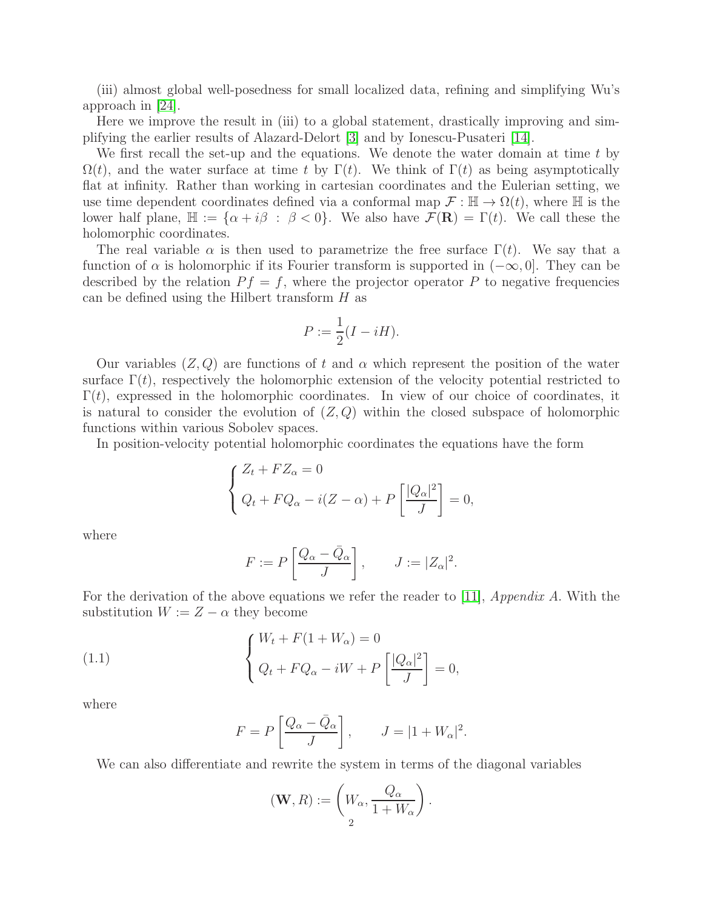(iii) almost global well-posedness for small localized data, refining and simplifying Wu's approach in [\[24\]](#page-20-3).

Here we improve the result in (iii) to a global statement, drastically improving and simplifying the earlier results of Alazard-Delort [\[3\]](#page-19-1) and by Ionescu-Pusateri [\[14\]](#page-19-2).

We first recall the set-up and the equations. We denote the water domain at time t by  $\Omega(t)$ , and the water surface at time t by Γ(t). We think of Γ(t) as being asymptotically flat at infinity. Rather than working in cartesian coordinates and the Eulerian setting, we use time dependent coordinates defined via a conformal map  $\mathcal{F} : \mathbb{H} \to \Omega(t)$ , where  $\mathbb H$  is the lower half plane,  $\mathbb{H} := {\alpha + i\beta : \beta < 0}$ . We also have  $\mathcal{F}(\mathbf{R}) = \Gamma(t)$ . We call these the holomorphic coordinates.

The real variable  $\alpha$  is then used to parametrize the free surface  $\Gamma(t)$ . We say that a function of  $\alpha$  is holomorphic if its Fourier transform is supported in  $(-\infty, 0]$ . They can be described by the relation  $P f = f$ , where the projector operator P to negative frequencies can be defined using the Hilbert transform  $H$  as

$$
P := \frac{1}{2}(I - iH).
$$

Our variables  $(Z, Q)$  are functions of t and  $\alpha$  which represent the position of the water surface  $\Gamma(t)$ , respectively the holomorphic extension of the velocity potential restricted to  $\Gamma(t)$ , expressed in the holomorphic coordinates. In view of our choice of coordinates, it is natural to consider the evolution of  $(Z, Q)$  within the closed subspace of holomorphic functions within various Sobolev spaces.

In position-velocity potential holomorphic coordinates the equations have the form

$$
\begin{cases} Z_t + FZ_{\alpha} = 0\\ Q_t + FQ_{\alpha} - i(Z - \alpha) + P\left[\frac{|Q_{\alpha}|^2}{J}\right] = 0, \end{cases}
$$

where

$$
F := P\left[\frac{Q_{\alpha} - \bar{Q}_{\alpha}}{J}\right], \qquad J := |Z_{\alpha}|^2.
$$

For the derivation of the above equations we refer the reader to [\[11\]](#page-19-0),  $Appendix A$ . With the substitution  $W := Z - \alpha$  they become

(1.1) 
$$
\begin{cases} W_t + F(1 + W_\alpha) = 0 \\ Q_t + FQ_\alpha - iW + P\left[\frac{|Q_\alpha|^2}{J}\right] = 0, \end{cases}
$$

where

<span id="page-1-0"></span>
$$
F = P\left[\frac{Q_{\alpha} - \bar{Q}_{\alpha}}{J}\right], \qquad J = |1 + W_{\alpha}|^2.
$$

We can also differentiate and rewrite the system in terms of the diagonal variables

$$
(\mathbf{W}, R) := \left(W_{\alpha}, \frac{Q_{\alpha}}{1 + W_{\alpha}}\right).
$$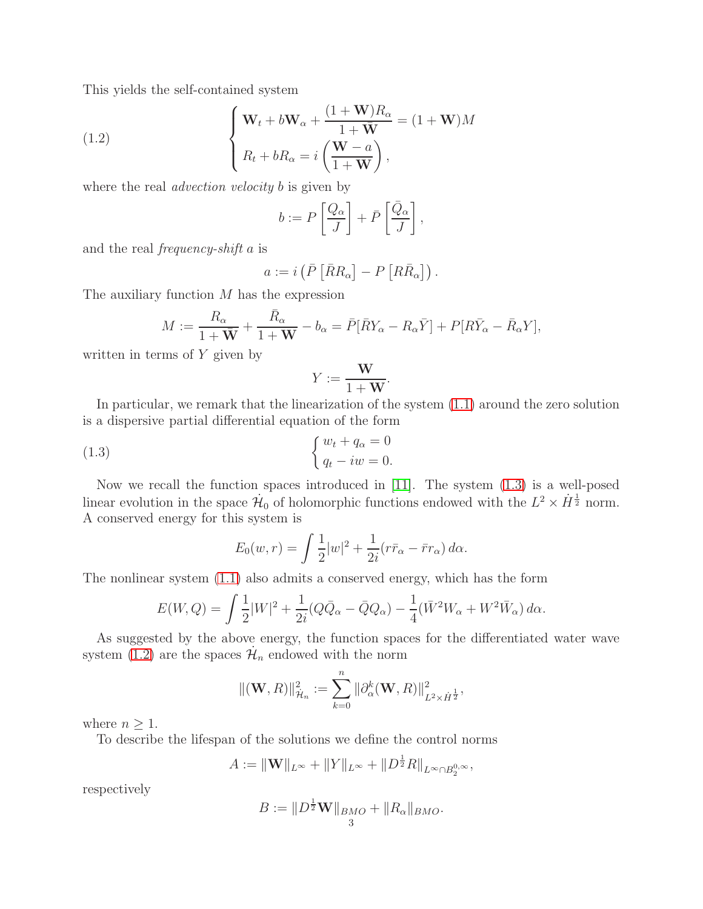This yields the self-contained system

(1.2) 
$$
\begin{cases} \mathbf{W}_t + b\mathbf{W}_\alpha + \frac{(1+\mathbf{W})R_\alpha}{1+\bar{\mathbf{W}}} = (1+\mathbf{W})M \\ R_t + bR_\alpha = i\left(\frac{\mathbf{W}-a}{1+\mathbf{W}}\right), \end{cases}
$$

where the real *advection velocity* b is given by

<span id="page-2-1"></span>
$$
b := P\left[\frac{Q_{\alpha}}{J}\right] + \bar{P}\left[\frac{\bar{Q}_{\alpha}}{J}\right],
$$

and the real frequency-shift a is

$$
a := i \left( \bar{P} \left[ \bar{R} R_{\alpha} \right] - P \left[ R \bar{R}_{\alpha} \right] \right).
$$

The auxiliary function  $M$  has the expression

$$
M := \frac{R_{\alpha}}{1 + \bar{\mathbf{W}}} + \frac{\bar{R}_{\alpha}}{1 + \mathbf{W}} - b_{\alpha} = \bar{P}[\bar{R}Y_{\alpha} - R_{\alpha}\bar{Y}] + P[R\bar{Y}_{\alpha} - \bar{R}_{\alpha}Y],
$$

written in terms of  $Y$  given by

<span id="page-2-0"></span>
$$
Y := \frac{\mathbf{W}}{1 + \mathbf{W}}.
$$

In particular, we remark that the linearization of the system [\(1.1\)](#page-1-0) around the zero solution is a dispersive partial differential equation of the form

(1.3) 
$$
\begin{cases} w_t + q_\alpha = 0 \\ q_t - iw = 0. \end{cases}
$$

Now we recall the function spaces introduced in [\[11\]](#page-19-0). The system [\(1.3\)](#page-2-0) is a well-posed linear evolution in the space  $\mathcal{H}_0$  of holomorphic functions endowed with the  $L^2 \times \dot{H}^{\frac{1}{2}}$  norm. A conserved energy for this system is

$$
E_0(w,r) = \int \frac{1}{2} |w|^2 + \frac{1}{2i} (r\bar{r}_\alpha - \bar{r}r_\alpha) d\alpha.
$$

The nonlinear system [\(1.1\)](#page-1-0) also admits a conserved energy, which has the form

$$
E(W,Q) = \int \frac{1}{2} |W|^2 + \frac{1}{2i} (Q\bar{Q}_{\alpha} - \bar{Q}Q_{\alpha}) - \frac{1}{4} (\bar{W}^2 W_{\alpha} + W^2 \bar{W}_{\alpha}) d\alpha.
$$

As suggested by the above energy, the function spaces for the differentiated water wave system [\(1.2\)](#page-2-1) are the spaces  $\mathcal{H}_n$  endowed with the norm

$$
\|(\mathbf{W}, R)\|_{\mathcal{H}_n}^2 := \sum_{k=0}^n \|\partial_{\alpha}^k(\mathbf{W}, R)\|_{L^2 \times \dot{H}^{\frac{1}{2}}}^2,
$$

where  $n \geq 1$ .

To describe the lifespan of the solutions we define the control norms

$$
A := \|\mathbf{W}\|_{L^{\infty}} + \|Y\|_{L^{\infty}} + \|D^{\frac{1}{2}}R\|_{L^{\infty} \cap B_2^{0,\infty}},
$$

respectively

$$
B := \|D^{\frac{1}{2}}\mathbf{W}\|_{BMO} + \|R_{\alpha}\|_{BMO}.
$$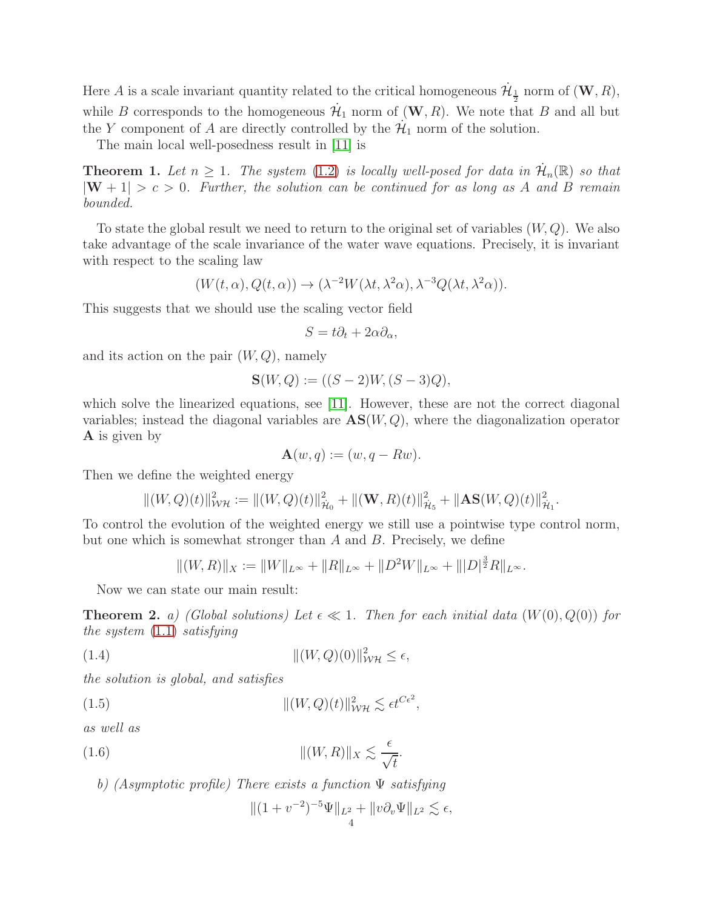Here A is a scale invariant quantity related to the critical homogeneous  $\dot{\mathcal{H}}_{\frac{1}{2}}$  norm of  $(\mathbf{W}, R)$ , while B corresponds to the homogeneous  $\mathcal{H}_1$  norm of  $(\mathbf{W}, R)$ . We note that B and all but the Y component of A are directly controlled by the  $\mathcal{H}_1$  norm of the solution.

The main local well-posedness result in [\[11\]](#page-19-0) is

**Theorem 1.** Let  $n \geq 1$ . The system [\(1.2\)](#page-2-1) is locally well-posed for data in  $\mathcal{H}_n(\mathbb{R})$  so that  $|W + 1| > c > 0$ . Further, the solution can be continued for as long as A and B remain bounded.

To state the global result we need to return to the original set of variables  $(W, Q)$ . We also take advantage of the scale invariance of the water wave equations. Precisely, it is invariant with respect to the scaling law

$$
(W(t, \alpha), Q(t, \alpha)) \to (\lambda^{-2} W(\lambda t, \lambda^2 \alpha), \lambda^{-3} Q(\lambda t, \lambda^2 \alpha)).
$$

This suggests that we should use the scaling vector field

$$
S = t\partial_t + 2\alpha \partial_\alpha,
$$

and its action on the pair  $(W, Q)$ , namely

$$
\mathbf{S}(W,Q) := ((S-2)W, (S-3)Q),
$$

which solve the linearized equations, see [\[11\]](#page-19-0). However, these are not the correct diagonal variables; instead the diagonal variables are  $\mathbf{AS}(W,Q)$ , where the diagonalization operator A is given by

$$
\mathbf{A}(w,q) := (w, q - Rw).
$$

Then we define the weighted energy

$$
||(W,Q)(t)||_{\mathcal{WH}}^2 := ||(W,Q)(t)||_{\mathcal{H}_0}^2 + ||(\mathbf{W},R)(t)||_{\mathcal{H}_5}^2 + ||\mathbf{AS}(W,Q)(t)||_{\mathcal{H}_1}^2.
$$

To control the evolution of the weighted energy we still use a pointwise type control norm, but one which is somewhat stronger than A and B. Precisely, we define

<span id="page-3-1"></span>
$$
||(W,R)||_X := ||W||_{L^{\infty}} + ||R||_{L^{\infty}} + ||D^2W||_{L^{\infty}} + ||D||_2^{\frac{3}{2}}R||_{L^{\infty}}.
$$

Now we can state our main result:

**Theorem 2.** a) (Global solutions) Let  $\epsilon \ll 1$ . Then for each initial data  $(W(0), Q(0))$  for the system [\(1.1\)](#page-1-0) satisfying

$$
||(W,Q)(0)||_{\mathcal{W}\mathcal{H}}^2 \leq \epsilon,
$$

the solution is global, and satisfies

(1.5) 
$$
\| (W,Q)(t) \|_{\mathcal{W}\mathcal{H}}^2 \lesssim \epsilon t^{C\epsilon^2},
$$

as well as

(1.6) 
$$
\|(W,R)\|_X \lesssim \frac{\epsilon}{\sqrt{t}}.
$$

b) (Asymptotic profile) There exists a function Ψ satisfying

<span id="page-3-2"></span><span id="page-3-0"></span>
$$
\|(1 + v^{-2})^{-5}\Psi\|_{L^2} + \|v\partial_v\Psi\|_{L^2} \lesssim \epsilon,
$$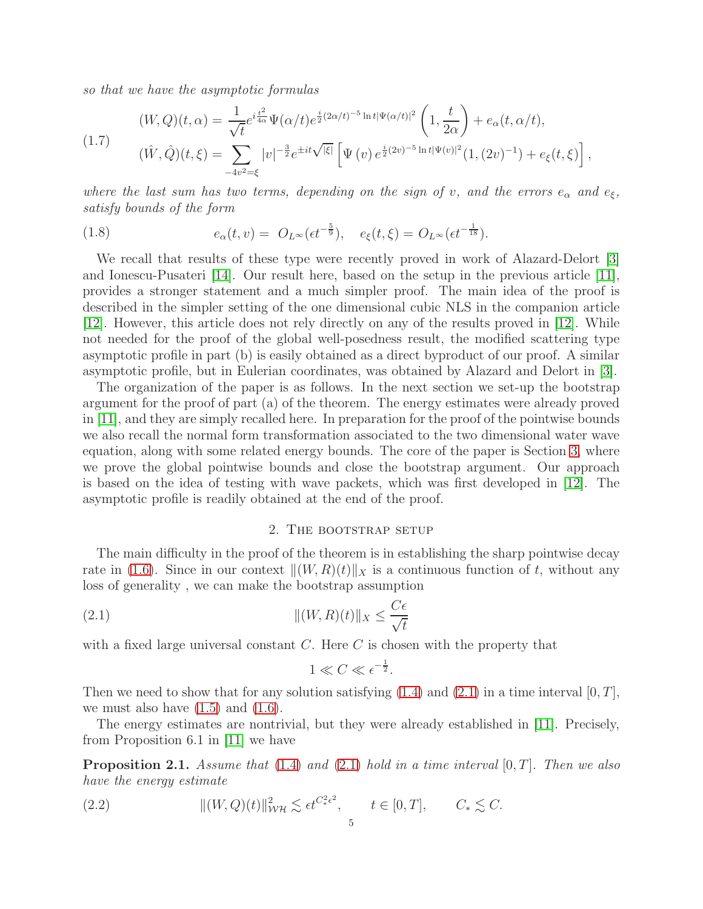so that we have the asymptotic formulas

<span id="page-4-2"></span>
$$
(W,Q)(t,\alpha) = \frac{1}{\sqrt{t}} e^{i\frac{t^2}{4\alpha}} \Psi(\alpha/t) e^{\frac{i}{2}(2\alpha/t)^{-5} \ln t |\Psi(\alpha/t)|^2} \left(1, \frac{t}{2\alpha}\right) + e_\alpha(t,\alpha/t),
$$
  

$$
(\hat{W},\hat{Q})(t,\xi) = \sum_{-4v^2=\xi} |v|^{-\frac{3}{2}} e^{\pm it\sqrt{|\xi|}} \left[\Psi(v) e^{\frac{i}{2}(2v)^{-5} \ln t |\Psi(v)|^2} (1,(2v)^{-1}) + e_\xi(t,\xi)\right],
$$

where the last sum has two terms, depending on the sign of v, and the errors  $e_{\alpha}$  and  $e_{\xi}$ , satisfy bounds of the form

(1.8) 
$$
e_{\alpha}(t,v) = O_{L^{\infty}}(\epsilon t^{-\frac{5}{9}}), \quad e_{\xi}(t,\xi) = O_{L^{\infty}}(\epsilon t^{-\frac{1}{18}}).
$$

We recall that results of these type were recently proved in work of Alazard-Delort [\[3\]](#page-19-1) and Ionescu-Pusateri [\[14\]](#page-19-2). Our result here, based on the setup in the previous article [\[11\]](#page-19-0), provides a stronger statement and a much simpler proof. The main idea of the proof is described in the simpler setting of the one dimensional cubic NLS in the companion article [\[12\]](#page-19-10). However, this article does not rely directly on any of the results proved in [\[12\]](#page-19-10). While not needed for the proof of the global well-posedness result, the modified scattering type asymptotic profile in part (b) is easily obtained as a direct byproduct of our proof. A similar asymptotic profile, but in Eulerian coordinates, was obtained by Alazard and Delort in [\[3\]](#page-19-1).

The organization of the paper is as follows. In the next section we set-up the bootstrap argument for the proof of part (a) of the theorem. The energy estimates were already proved in [\[11\]](#page-19-0), and they are simply recalled here. In preparation for the proof of the pointwise bounds we also recall the normal form transformation associated to the two dimensional water wave equation, along with some related energy bounds. The core of the paper is Section [3,](#page-7-0) where we prove the global pointwise bounds and close the bootstrap argument. Our approach is based on the idea of testing with wave packets, which was first developed in [\[12\]](#page-19-10). The asymptotic profile is readily obtained at the end of the proof.

### 2. The bootstrap setup

The main difficulty in the proof of the theorem is in establishing the sharp pointwise decay rate in [\(1.6\)](#page-3-0). Since in our context  $\|(W, R)(t)\|_X$  is a continuous function of t, without any loss of generality , we can make the bootstrap assumption

(2.1) 
$$
\|(W,R)(t)\|_X \leq \frac{C\epsilon}{\sqrt{t}}
$$

with a fixed large universal constant  $C$ . Here  $C$  is chosen with the property that

<span id="page-4-0"></span>
$$
1 \ll C \ll \epsilon^{-\frac{1}{2}}.
$$

Then we need to show that for any solution satisfying  $(1.4)$  and  $(2.1)$  in a time interval  $[0, T]$ , we must also have  $(1.5)$  and  $(1.6)$ .

The energy estimates are nontrivial, but they were already established in [\[11\]](#page-19-0). Precisely, from Proposition 6.1 in [\[11\]](#page-19-0) we have

**Proposition 2.1.** Assume that [\(1.4\)](#page-3-1) and [\(2.1\)](#page-4-0) hold in a time interval  $[0, T]$ . Then we also have the energy estimate

<span id="page-4-1"></span>(2.2) 
$$
\| (W,Q)(t) \|_{\mathcal{WH}}^2 \lesssim \epsilon t^{C_*^2 \epsilon^2}, \qquad t \in [0,T], \qquad C_* \lesssim C.
$$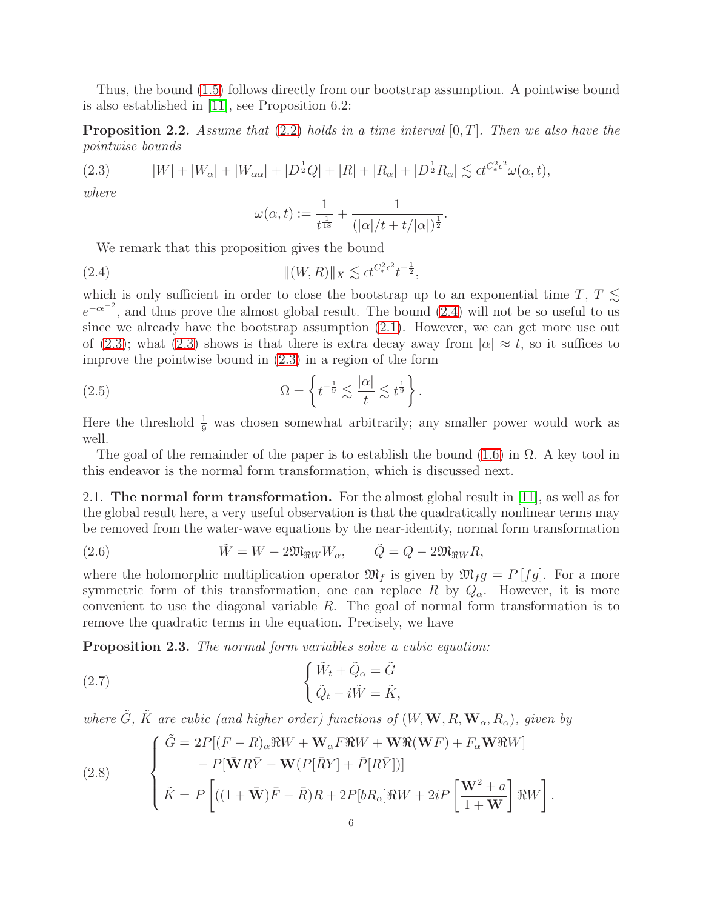Thus, the bound [\(1.5\)](#page-3-2) follows directly from our bootstrap assumption. A pointwise bound is also established in [\[11\]](#page-19-0), see Proposition 6.2:

**Proposition 2.2.** Assume that [\(2.2\)](#page-4-1) holds in a time interval  $[0, T]$ . Then we also have the pointwise bounds

<span id="page-5-1"></span>(2.3) 
$$
|W| + |W_{\alpha}| + |W_{\alpha\alpha}| + |D^{\frac{1}{2}}Q| + |R| + |R_{\alpha}| + |D^{\frac{1}{2}}R_{\alpha}| \lesssim \epsilon t^{C_{*}^{2}\epsilon^{2}} \omega(\alpha, t),
$$

where

<span id="page-5-0"></span>
$$
\omega(\alpha, t) := \frac{1}{t^{\frac{1}{18}}} + \frac{1}{(|\alpha|/t + t/|\alpha|)^{\frac{1}{2}}}.
$$

We remark that this proposition gives the bound

(2.4) 
$$
\|(W,R)\|_X \lesssim \epsilon t^{C_*^2 \epsilon^2} t^{-\frac{1}{2}},
$$

which is only sufficient in order to close the bootstrap up to an exponential time T,  $T \lesssim$  $e^{-c\epsilon^{-2}}$ , and thus prove the almost global result. The bound [\(2.4\)](#page-5-0) will not be so useful to us since we already have the bootstrap assumption [\(2.1\)](#page-4-0). However, we can get more use out of [\(2.3\)](#page-5-1); what (2.3) shows is that there is extra decay away from  $|\alpha| \approx t$ , so it suffices to improve the pointwise bound in [\(2.3\)](#page-5-1) in a region of the form

(2.5) 
$$
\Omega = \left\{ t^{-\frac{1}{9}} \lesssim \frac{|\alpha|}{t} \lesssim t^{\frac{1}{9}} \right\}.
$$

Here the threshold  $\frac{1}{9}$  was chosen somewhat arbitrarily; any smaller power would work as well.

The goal of the remainder of the paper is to establish the bound  $(1.6)$  in  $\Omega$ . A key tool in this endeavor is the normal form transformation, which is discussed next.

2.1. The normal form transformation. For the almost global result in [\[11\]](#page-19-0), as well as for the global result here, a very useful observation is that the quadratically nonlinear terms may be removed from the water-wave equations by the near-identity, normal form transformation

<span id="page-5-2"></span>(2.6) 
$$
\tilde{W} = W - 2\mathfrak{M}_{\Re W}W_{\alpha}, \qquad \tilde{Q} = Q - 2\mathfrak{M}_{\Re W}R,
$$

where the holomorphic multiplication operator  $\mathfrak{M}_f$  is given by  $\mathfrak{M}_f g = P[f g]$ . For a more symmetric form of this transformation, one can replace R by  $Q_{\alpha}$ . However, it is more convenient to use the diagonal variable  $R$ . The goal of normal form transformation is to remove the quadratic terms in the equation. Precisely, we have

Proposition 2.3. The normal form variables solve a cubic equation:

(2.7) 
$$
\begin{cases} \tilde{W}_t + \tilde{Q}_\alpha = \tilde{G} \\ \tilde{Q}_t - i\tilde{W} = \tilde{K}, \end{cases}
$$

where  $\tilde{G}$ ,  $\tilde{K}$  are cubic (and higher order) functions of  $(W, \mathbf{W}, R, \mathbf{W}_{\alpha}, R_{\alpha})$ , given by

(2.8) 
$$
\begin{cases} \tilde{G} = 2P[(F - R)_{\alpha} \Re W + \mathbf{W}_{\alpha} F \Re W + \mathbf{W} \Re(\mathbf{W} F) + F_{\alpha} \mathbf{W} \Re W] \\ - P[\bar{\mathbf{W}} R \bar{Y} - \mathbf{W} (P[\bar{R} Y] + \bar{P}[R \bar{Y}])] \\ \tilde{K} = P\left[ ((1 + \bar{\mathbf{W}}) \bar{F} - \bar{R})R + 2P[bR_{\alpha}] \Re W + 2iP\left[\frac{\mathbf{W}^2 + a}{1 + \mathbf{W}}\right] \Re W \right]. \end{cases}
$$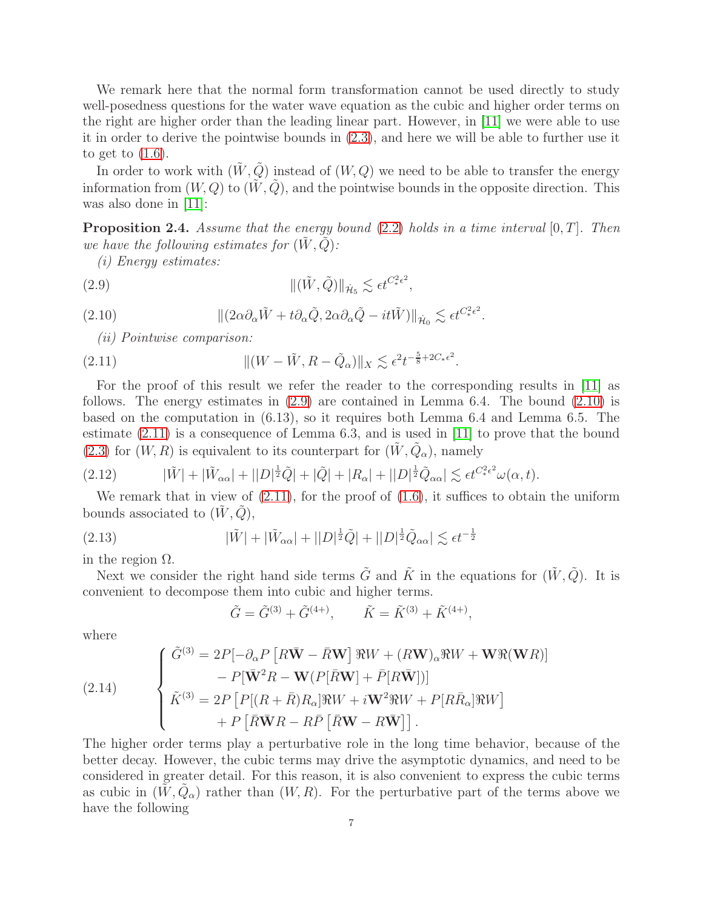We remark here that the normal form transformation cannot be used directly to study well-posedness questions for the water wave equation as the cubic and higher order terms on the right are higher order than the leading linear part. However, in [\[11\]](#page-19-0) we were able to use it in order to derive the pointwise bounds in [\(2.3\)](#page-5-1), and here we will be able to further use it to get to [\(1.6\)](#page-3-0).

In order to work with  $(\tilde{W}, \tilde{Q})$  instead of  $(W, Q)$  we need to be able to transfer the energy information from  $(W, Q)$  to  $(\tilde{W}, \tilde{Q})$ , and the pointwise bounds in the opposite direction. This was also done in [\[11\]](#page-19-0):

**Proposition 2.4.** Assume that the energy bound  $(2.2)$  holds in a time interval  $[0, T]$ . Then we have the following estimates for  $(W, Q)$ :

(i) Energy estimates:

(2.9) 
$$
\|(\tilde{W}, \tilde{Q})\|_{\dot{\mathcal{H}}_5} \lesssim \epsilon t^{C_*^2 \epsilon^2},
$$

(2.10) 
$$
\| (2\alpha \partial_{\alpha} \tilde{W} + t \partial_{\alpha} \tilde{Q}, 2\alpha \partial_{\alpha} \tilde{Q} - it \tilde{W}) \|_{\dot{\mathcal{H}}_{0}} \lesssim \epsilon t^{C_{*}^{2} \epsilon^{2}}.
$$

<span id="page-6-2"></span><span id="page-6-1"></span><span id="page-6-0"></span>(ii) Pointwise comparison:

(2.11) 
$$
\| (W - \tilde{W}, R - \tilde{Q}_{\alpha}) \|_{X} \lesssim \epsilon^{2} t^{-\frac{5}{8} + 2C_{*} \epsilon^{2}}.
$$

For the proof of this result we refer the reader to the corresponding results in [\[11\]](#page-19-0) as follows. The energy estimates in [\(2.9\)](#page-6-0) are contained in Lemma 6.4. The bound [\(2.10\)](#page-6-1) is based on the computation in (6.13), so it requires both Lemma 6.4 and Lemma 6.5. The estimate [\(2.11\)](#page-6-2) is a consequence of Lemma 6.3, and is used in [\[11\]](#page-19-0) to prove that the bound [\(2.3\)](#page-5-1) for  $(W, R)$  is equivalent to its counterpart for  $(\tilde{W}, \tilde{Q}_{\alpha})$ , namely

<span id="page-6-4"></span>
$$
(2.12) \qquad |\tilde{W}| + |\tilde{W}_{\alpha\alpha}| + ||D|^{\frac{1}{2}}\tilde{Q}| + |\tilde{Q}| + |R_{\alpha}| + ||D|^{\frac{1}{2}}\tilde{Q}_{\alpha\alpha}| \lesssim \epsilon t^{C_{*}^{2}\epsilon^{2}}\omega(\alpha, t).
$$

We remark that in view of  $(2.11)$ , for the proof of  $(1.6)$ , it suffices to obtain the uniform bounds associated to  $(\tilde{W}, \tilde{Q})$ ,

(2.13) 
$$
|\tilde{W}|+|\tilde{W}_{\alpha\alpha}|+||D|^{\frac{1}{2}}\tilde{Q}|+||D|^{\frac{1}{2}}\tilde{Q}_{\alpha\alpha}|\lesssim \epsilon t^{-\frac{1}{2}}
$$

in the region  $Ω$ .

Next we consider the right hand side terms  $\tilde{G}$  and  $\tilde{K}$  in the equations for  $(\tilde{W}, \tilde{Q})$ . It is convenient to decompose them into cubic and higher terms.

<span id="page-6-3"></span>
$$
\tilde{G} = \tilde{G}^{(3)} + \tilde{G}^{(4+)}, \qquad \tilde{K} = \tilde{K}^{(3)} + \tilde{K}^{(4+)},
$$

where

(2.14) 
$$
\begin{cases} \tilde{G}^{(3)} = 2P[-\partial_{\alpha}P [R\bar{\mathbf{W}} - \bar{R}\mathbf{W}] \Re W + (R\mathbf{W})_{\alpha} \Re W + \mathbf{W} \Re(\mathbf{W}R)] \\ - P[\bar{\mathbf{W}}^2 R - \mathbf{W}(P[\bar{R}\mathbf{W}] + \bar{P}[R\bar{\mathbf{W}}])] \\ \tilde{K}^{(3)} = 2P [P[(R + \bar{R})R_{\alpha}]\Re W + i\mathbf{W}^2 \Re W + P[R\bar{R}_{\alpha}]\Re W] \\ + P [\bar{R}\bar{\mathbf{W}}R - R\bar{P} [\bar{R}\mathbf{W} - R\bar{\mathbf{W}}]]. \end{cases}
$$

The higher order terms play a perturbative role in the long time behavior, because of the better decay. However, the cubic terms may drive the asymptotic dynamics, and need to be considered in greater detail. For this reason, it is also convenient to express the cubic terms as cubic in  $(\tilde{W}, \tilde{Q}_{\alpha})$  rather than  $(W, R)$ . For the perturbative part of the terms above we have the following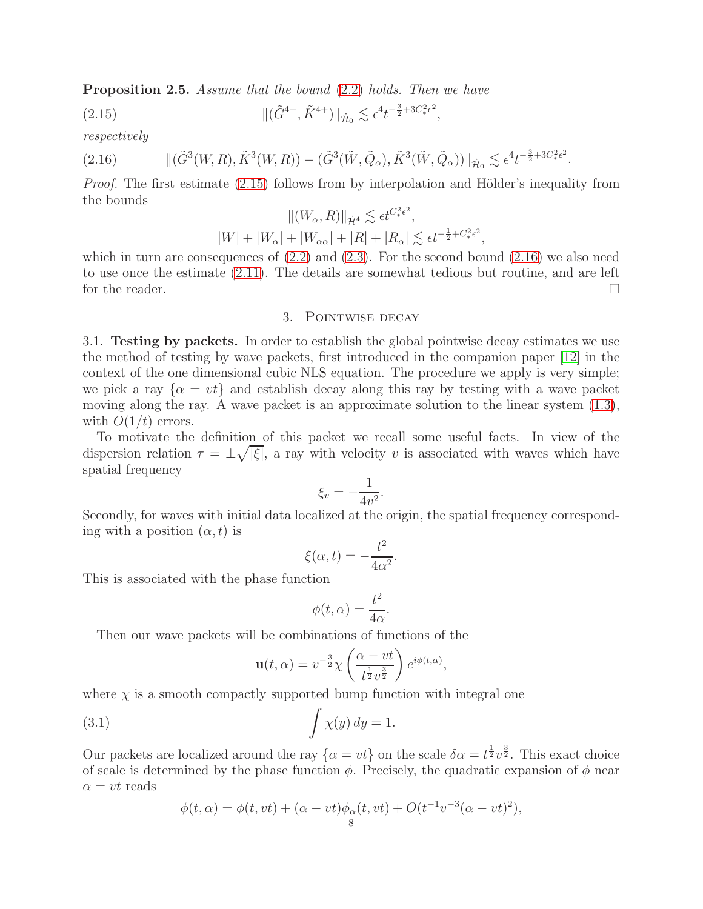Proposition 2.5. Assume that the bound [\(2.2\)](#page-4-1) holds. Then we have

(2.15) 
$$
\| (\tilde{G}^{4+}, \tilde{K}^{4+}) \|_{\dot{\mathcal{H}}_0} \lesssim \epsilon^4 t^{-\frac{3}{2}+3C_*^2 \epsilon^2},
$$

respectively

$$
(2.16) \qquad \qquad ||(\tilde{G}^{3}(W,R),\tilde{K}^{3}(W,R)) - (\tilde{G}^{3}(\tilde{W},\tilde{Q}_{\alpha}),\tilde{K}^{3}(\tilde{W},\tilde{Q}_{\alpha}))||_{\dot{\mathcal{H}}_{0}} \lesssim \epsilon^{4} t^{-\frac{3}{2}+3C_{*}^{2}\epsilon^{2}}.
$$

*Proof.* The first estimate  $(2.15)$  follows from by interpolation and Hölder's inequality from the bounds  $H(TT, R)$ 

<span id="page-7-2"></span><span id="page-7-1"></span>
$$
||(W_{\alpha}, R)||_{\dot{\mathcal{H}}^{4}} \lesssim \epsilon t^{C_{*}^{2} \epsilon^{2}},
$$
  

$$
|W| + |W_{\alpha}| + |W_{\alpha\alpha}| + |R| + |R_{\alpha}| \lesssim \epsilon t^{-\frac{1}{2} + C_{*}^{2} \epsilon^{2}},
$$

<span id="page-7-0"></span>which in turn are consequences of  $(2.2)$  and  $(2.3)$ . For the second bound  $(2.16)$  we also need to use once the estimate [\(2.11\)](#page-6-2). The details are somewhat tedious but routine, and are left for the reader.

## 3. Pointwise decay

3.1. Testing by packets. In order to establish the global pointwise decay estimates we use the method of testing by wave packets, first introduced in the companion paper [\[12\]](#page-19-10) in the context of the one dimensional cubic NLS equation. The procedure we apply is very simple; we pick a ray  $\{\alpha = vt\}$  and establish decay along this ray by testing with a wave packet moving along the ray. A wave packet is an approximate solution to the linear system [\(1.3\)](#page-2-0), with  $O(1/t)$  errors.

To motivate the definition of this packet we recall some useful facts. In view of the dispersion relation  $\tau = \pm \sqrt{|\xi|}$ , a ray with velocity v is associated with waves which have spatial frequency

$$
\xi_v = -\frac{1}{4v^2}.
$$

Secondly, for waves with initial data localized at the origin, the spatial frequency corresponding with a position  $(\alpha, t)$  is

$$
\xi(\alpha, t) = -\frac{t^2}{4\alpha^2}.
$$

This is associated with the phase function

$$
\phi(t,\alpha) = \frac{t^2}{4\alpha}.
$$

Then our wave packets will be combinations of functions of the

<span id="page-7-3"></span>
$$
\mathbf{u}(t,\alpha) = v^{-\frac{3}{2}} \chi \left( \frac{\alpha - vt}{t^{\frac{1}{2}} v^{\frac{3}{2}}} \right) e^{i\phi(t,\alpha)},
$$

where  $\chi$  is a smooth compactly supported bump function with integral one

(3.1) 
$$
\int \chi(y) dy = 1.
$$

Our packets are localized around the ray  $\{\alpha = vt\}$  on the scale  $\delta \alpha = t^{\frac{1}{2}}v^{\frac{3}{2}}$ . This exact choice of scale is determined by the phase function  $\phi$ . Precisely, the quadratic expansion of  $\phi$  near  $\alpha = vt$  reads

$$
\phi(t, \alpha) = \phi(t, vt) + (\alpha - vt)\phi_{\alpha}(t, vt) + O(t^{-1}v^{-3}(\alpha - vt)^{2}),
$$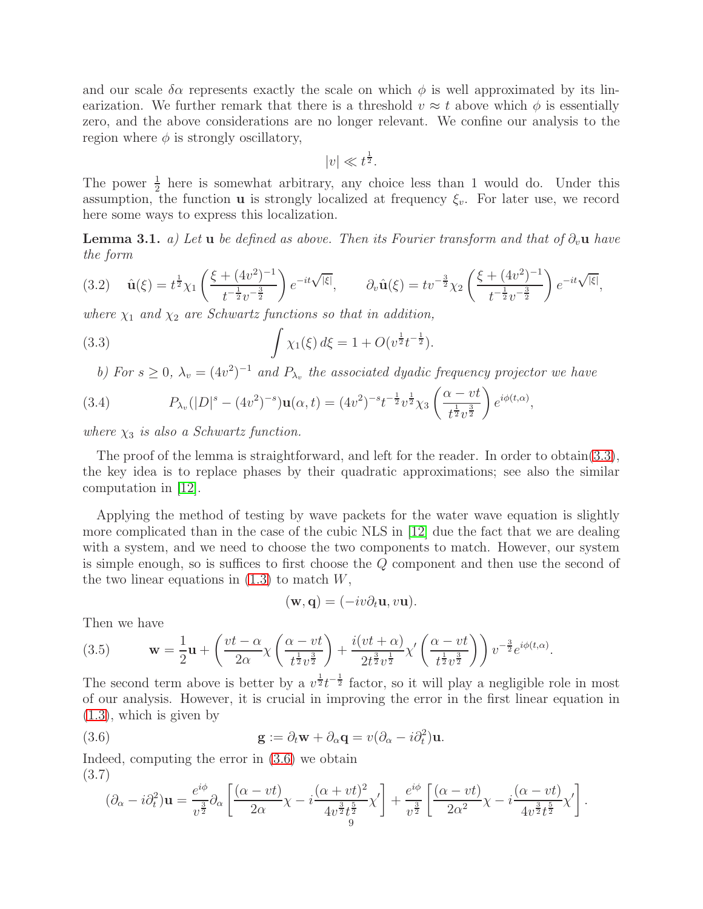and our scale  $\delta \alpha$  represents exactly the scale on which  $\phi$  is well approximated by its linearization. We further remark that there is a threshold  $v \approx t$  above which  $\phi$  is essentially zero, and the above considerations are no longer relevant. We confine our analysis to the region where  $\phi$  is strongly oscillatory,

$$
|v| \ll t^{\frac{1}{2}}.
$$

The power  $\frac{1}{2}$  here is somewhat arbitrary, any choice less than 1 would do. Under this assumption, the function **u** is strongly localized at frequency  $\xi_v$ . For later use, we record here some ways to express this localization.

<span id="page-8-3"></span>**Lemma 3.1.** a) Let **u** be defined as above. Then its Fourier transform and that of  $\partial_v \mathbf{u}$  have the form

<span id="page-8-4"></span>
$$
(3.2) \quad \hat{\mathbf{u}}(\xi) = t^{\frac{1}{2}} \chi_1 \left( \frac{\xi + (4v^2)^{-1}}{t^{-\frac{1}{2}} v^{-\frac{3}{2}}} \right) e^{-it\sqrt{|\xi|}}, \qquad \partial_v \hat{\mathbf{u}}(\xi) = t v^{-\frac{3}{2}} \chi_2 \left( \frac{\xi + (4v^2)^{-1}}{t^{-\frac{1}{2}} v^{-\frac{3}{2}}} \right) e^{-it\sqrt{|\xi|}},
$$

where  $\chi_1$  and  $\chi_2$  are Schwartz functions so that in addition,

(3.3) 
$$
\int \chi_1(\xi) d\xi = 1 + O(v^{\frac{1}{2}}t^{-\frac{1}{2}}).
$$

<span id="page-8-5"></span><span id="page-8-0"></span>b) For  $s \geq 0$ ,  $\lambda_v = (4v^2)^{-1}$  and  $P_{\lambda_v}$  the associated dyadic frequency projector we have

(3.4) 
$$
P_{\lambda_v}(|D|^s - (4v^2)^{-s})\mathbf{u}(\alpha, t) = (4v^2)^{-s}t^{-\frac{1}{2}}v^{\frac{1}{2}}\chi_3\left(\frac{\alpha - vt}{t^{\frac{1}{2}}v^{\frac{3}{2}}}\right)e^{i\phi(t, \alpha)},
$$

where  $\chi_3$  is also a Schwartz function.

The proof of the lemma is straightforward, and left for the reader. In order to obtain[\(3.3\)](#page-8-0), the key idea is to replace phases by their quadratic approximations; see also the similar computation in [\[12\]](#page-19-10).

Applying the method of testing by wave packets for the water wave equation is slightly more complicated than in the case of the cubic NLS in [\[12\]](#page-19-10) due the fact that we are dealing with a system, and we need to choose the two components to match. However, our system is simple enough, so is suffices to first choose the Q component and then use the second of the two linear equations in  $(1.3)$  to match  $W$ ,

<span id="page-8-1"></span>
$$
(\mathbf{w}, \mathbf{q}) = (-iv\partial_t \mathbf{u}, v\mathbf{u}).
$$

Then we have

<span id="page-8-2"></span>(3.5) 
$$
\mathbf{w} = \frac{1}{2}\mathbf{u} + \left(\frac{vt - \alpha}{2\alpha}\chi\left(\frac{\alpha - vt}{t^{\frac{1}{2}}v^{\frac{3}{2}}}\right) + \frac{i(vt + \alpha)}{2t^{\frac{3}{2}}v^{\frac{1}{2}}}\chi'\left(\frac{\alpha - vt}{t^{\frac{1}{2}}v^{\frac{3}{2}}}\right)\right)v^{-\frac{3}{2}}e^{i\phi(t,\alpha)}.
$$

The second term above is better by a  $v^{\frac{1}{2}}t^{-\frac{1}{2}}$  factor, so it will play a negligible role in most of our analysis. However, it is crucial in improving the error in the first linear equation in [\(1.3\)](#page-2-0), which is given by

(3.6) 
$$
\mathbf{g} := \partial_t \mathbf{w} + \partial_\alpha \mathbf{q} = v(\partial_\alpha - i \partial_t^2) \mathbf{u}.
$$

Indeed, computing the error in [\(3.6\)](#page-8-1) we obtain (3.7)

$$
(\partial_{\alpha} - i \partial_t^2) \mathbf{u} = \frac{e^{i\phi}}{v^{\frac{3}{2}}} \partial_{\alpha} \left[ \frac{(\alpha - vt)}{2\alpha} \chi - i \frac{(\alpha + vt)^2}{4v^{\frac{3}{2}} t^{\frac{5}{2}}} \chi' \right] + \frac{e^{i\phi}}{v^{\frac{3}{2}}} \left[ \frac{(\alpha - vt)}{2\alpha^2} \chi - i \frac{(\alpha - vt)}{4v^{\frac{3}{2}} t^{\frac{5}{2}}} \chi' \right].
$$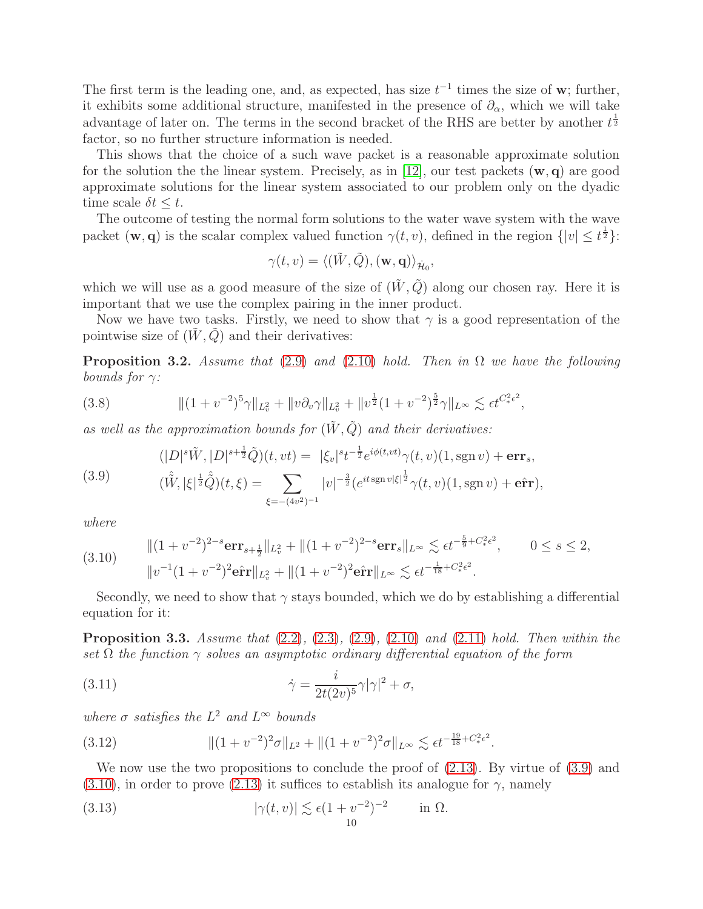The first term is the leading one, and, as expected, has size  $t^{-1}$  times the size of w; further, it exhibits some additional structure, manifested in the presence of  $\partial_{\alpha}$ , which we will take advantage of later on. The terms in the second bracket of the RHS are better by another  $t^{\frac{1}{2}}$ factor, so no further structure information is needed.

This shows that the choice of a such wave packet is a reasonable approximate solution for the solution the the linear system. Precisely, as in [\[12\]](#page-19-10), our test packets  $(\mathbf{w}, \mathbf{q})$  are good approximate solutions for the linear system associated to our problem only on the dyadic time scale  $\delta t \leq t$ .

The outcome of testing the normal form solutions to the water wave system with the wave packet  $(\mathbf{w}, \mathbf{q})$  is the scalar complex valued function  $\gamma(t, v)$ , defined in the region  $\{|v| \leq t^{\frac{1}{2}}\}$ :

$$
\gamma(t,v)=\langle (\tilde{W},\tilde{Q}),(\mathbf{w},\mathbf{q})\rangle_{\dot{\mathcal{H}}_0},
$$

which we will use as a good measure of the size of  $(\tilde{W}, \tilde{Q})$  along our chosen ray. Here it is important that we use the complex pairing in the inner product.

Now we have two tasks. Firstly, we need to show that  $\gamma$  is a good representation of the pointwise size of  $(W, Q)$  and their derivatives:

<span id="page-9-4"></span>**Proposition 3.2.** Assume that [\(2.9\)](#page-6-0) and [\(2.10\)](#page-6-1) hold. Then in  $\Omega$  we have the following bounds for  $\gamma$ :

(3.8) 
$$
\| (1 + v^{-2})^5 \gamma \|_{L^2_v} + \| v \partial_v \gamma \|_{L^2_v} + \| v^{\frac{1}{2}} (1 + v^{-2})^{\frac{5}{2}} \gamma \|_{L^\infty} \lesssim \epsilon t^{C_*^2 \epsilon^2},
$$

as well as the approximation bounds for  $(\tilde{W}, \tilde{Q})$  and their derivatives:

<span id="page-9-5"></span>
$$
(|D|^s \tilde{W}, |D|^{s+\frac{1}{2}} \tilde{Q})(t, vt) = |\xi_v|^s t^{-\frac{1}{2}} e^{i\phi(t, vt)} \gamma(t, v) (1, \operatorname{sgn} v) + \operatorname{err}_s,
$$

<span id="page-9-0"></span>(3.9) 
$$
(\hat{\tilde{W}}, |\xi|^{\frac{1}{2}}\hat{\tilde{Q}})(t,\xi) = \sum_{\xi = -(4v^2)^{-1}} |v|^{-\frac{3}{2}} (e^{it \operatorname{sgn} v|\xi|^{\frac{1}{2}}}\gamma(t,v)(1,\operatorname{sgn} v) + \hat{\mathbf{err}}),
$$

where

<span id="page-9-1"></span>(3.10) 
$$
\| (1 + v^{-2})^{2-s} \mathbf{err}_{s + \frac{1}{2}} \|_{L^2_v} + \| (1 + v^{-2})^{2-s} \mathbf{err}_s \|_{L^\infty} \lesssim \epsilon t^{-\frac{5}{9} + C_*^2 \epsilon^2}, \qquad 0 \le s \le 2,
$$

$$
\| v^{-1} (1 + v^{-2})^2 \mathbf{err}_s \|_{L^2_v} + \| (1 + v^{-2})^2 \mathbf{err}_s \|_{L^\infty} \lesssim \epsilon t^{-\frac{1}{18} + C_*^2 \epsilon^2}.
$$

Secondly, we need to show that  $\gamma$  stays bounded, which we do by establishing a differential equation for it:

<span id="page-9-6"></span>**Proposition 3.3.** Assume that  $(2.2)$ ,  $(2.3)$ ,  $(2.9)$ ,  $(2.10)$  and  $(2.11)$  hold. Then within the set  $\Omega$  the function  $\gamma$  solves an asymptotic ordinary differential equation of the form

<span id="page-9-2"></span>(3.11) 
$$
\dot{\gamma} = \frac{i}{2t(2v)^5} \gamma |\gamma|^2 + \sigma,
$$

where  $\sigma$  satisfies the  $L^2$  and  $L^{\infty}$  bounds

<span id="page-9-7"></span>(3.12) 
$$
\|(1+v^{-2})^2\sigma\|_{L^2} + \|(1+v^{-2})^2\sigma\|_{L^\infty} \lesssim \epsilon t^{-\frac{19}{18}+C_*^2\epsilon^2}.
$$

We now use the two propositions to conclude the proof of  $(2.13)$ . By virtue of  $(3.9)$  and  $(3.10)$ , in order to prove  $(2.13)$  it suffices to establish its analogue for  $\gamma$ , namely

<span id="page-9-3"></span>(3.13) 
$$
|\gamma(t,v)| \lesssim \epsilon (1 + v^{-2})^{-2} \quad \text{in } \Omega.
$$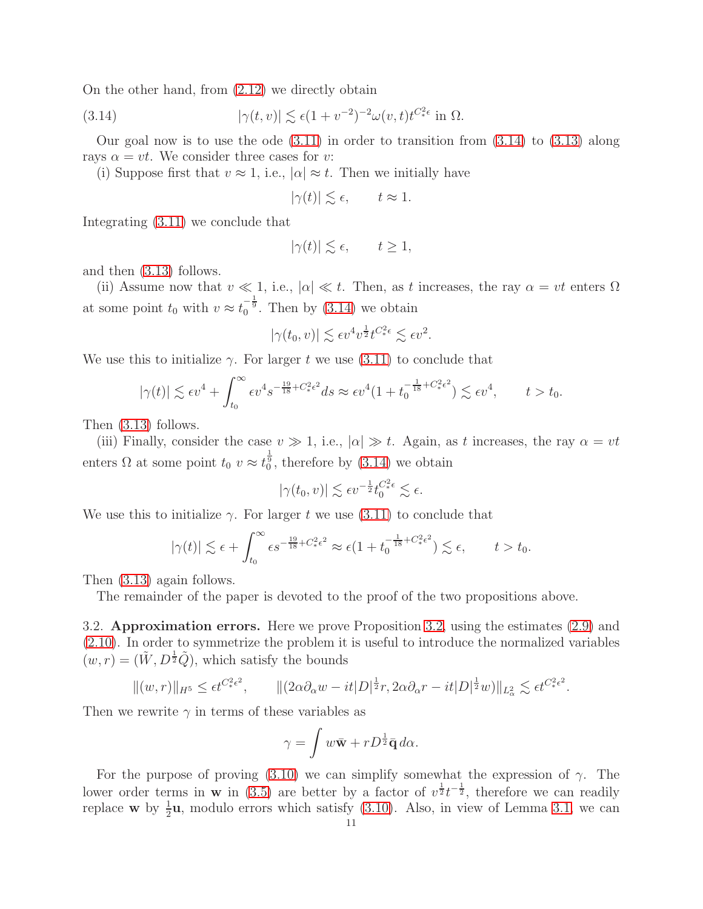On the other hand, from [\(2.12\)](#page-6-4) we directly obtain

(3.14) 
$$
|\gamma(t,v)| \lesssim \epsilon (1 + v^{-2})^{-2} \omega(v,t) t^{C_*^2 \epsilon} \text{ in } \Omega.
$$

Our goal now is to use the ode  $(3.11)$  in order to transition from  $(3.14)$  to  $(3.13)$  along rays  $\alpha = vt$ . We consider three cases for v:

(i) Suppose first that  $v \approx 1$ , i.e.,  $|\alpha| \approx t$ . Then we initially have

<span id="page-10-0"></span>
$$
|\gamma(t)| \lesssim \epsilon, \qquad t \approx 1.
$$

Integrating [\(3.11\)](#page-9-2) we conclude that

$$
|\gamma(t)| \lesssim \epsilon, \qquad t \ge 1,
$$

and then [\(3.13\)](#page-9-3) follows.

(ii) Assume now that  $v \ll 1$ , i.e.,  $|\alpha| \ll t$ . Then, as t increases, the ray  $\alpha = vt$  enters  $\Omega$ at some point  $t_0$  with  $v \approx t_0^{-\frac{1}{9}}$ . Then by [\(3.14\)](#page-10-0) we obtain

$$
|\gamma(t_0, v)| \lesssim \epsilon v^4 v^{\frac{1}{2}} t^{C_*^2 \epsilon} \lesssim \epsilon v^2.
$$

We use this to initialize  $\gamma$ . For larger t we use [\(3.11\)](#page-9-2) to conclude that

$$
|\gamma(t)| \lesssim \epsilon v^4 + \int_{t_0}^{\infty} \epsilon v^4 s^{-\frac{19}{18} + C_*^2 \epsilon^2} ds \approx \epsilon v^4 (1 + t_0^{-\frac{1}{18} + C_*^2 \epsilon^2}) \lesssim \epsilon v^4, \qquad t > t_0.
$$

Then [\(3.13\)](#page-9-3) follows.

(iii) Finally, consider the case  $v \gg 1$ , i.e.,  $|\alpha| \gg t$ . Again, as t increases, the ray  $\alpha = vt$ enters  $\Omega$  at some point  $t_0$   $v \approx t_0^{\frac{1}{9}}$ , therefore by [\(3.14\)](#page-10-0) we obtain

$$
|\gamma(t_0, v)| \lesssim \epsilon v^{-\frac{1}{2}} t_0^{C^2_* \epsilon} \lesssim \epsilon.
$$

We use this to initialize  $\gamma$ . For larger t we use [\(3.11\)](#page-9-2) to conclude that

$$
|\gamma(t)| \lesssim \epsilon + \int_{t_0}^{\infty} \epsilon s^{-\frac{19}{18} + C_*^2 \epsilon^2} \approx \epsilon (1 + t_0^{-\frac{1}{18} + C_*^2 \epsilon^2}) \lesssim \epsilon, \qquad t > t_0.
$$

Then [\(3.13\)](#page-9-3) again follows.

The remainder of the paper is devoted to the proof of the two propositions above.

3.2. Approximation errors. Here we prove Proposition [3.2,](#page-9-4) using the estimates [\(2.9\)](#page-6-0) and [\(2.10\)](#page-6-1). In order to symmetrize the problem it is useful to introduce the normalized variables  $(w, r) = (\tilde{W}, D^{\frac{1}{2}}\tilde{Q})$ , which satisfy the bounds

$$
\|(w,r)\|_{H^5} \le \epsilon t^{C^2_*\epsilon^2}, \qquad \|(2\alpha\partial_\alpha w - it|D|^{\frac{1}{2}}r, 2\alpha\partial_\alpha r - it|D|^{\frac{1}{2}}w)\|_{L^2_\alpha} \lesssim \epsilon t^{C^2_*\epsilon^2}.
$$

Then we rewrite  $\gamma$  in terms of these variables as

$$
\gamma = \int w \bar{\mathbf{w}} + r D^{\frac{1}{2}} \bar{\mathbf{q}} \, d\alpha.
$$

For the purpose of proving [\(3.10\)](#page-9-1) we can simplify somewhat the expression of  $\gamma$ . The lower order terms in **w** in [\(3.5\)](#page-8-2) are better by a factor of  $v^{\frac{1}{2}}t^{-\frac{1}{2}}$ , therefore we can readily replace **w** by  $\frac{1}{2}$ **u**, modulo errors which satisfy [\(3.10\)](#page-9-1). Also, in view of Lemma [3.1,](#page-8-3) we can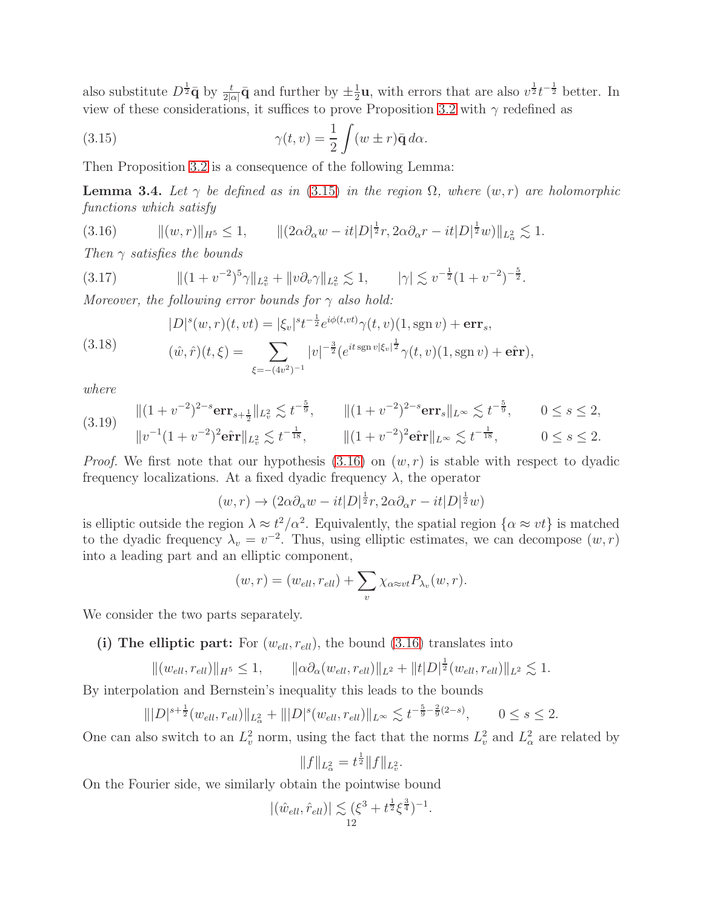also substitute  $D^{\frac{1}{2}}\bar{\mathbf{q}}$  by  $\frac{t}{2|\alpha|}\bar{\mathbf{q}}$  and further by  $\pm \frac{1}{2}$  $\frac{1}{2}$ **u**, with errors that are also  $v^{\frac{1}{2}}t^{-\frac{1}{2}}$  better. In view of these considerations, it suffices to prove Proposition [3.2](#page-9-4) with  $\gamma$  redefined as

<span id="page-11-0"></span>(3.15) 
$$
\gamma(t,v) = \frac{1}{2} \int (w \pm r) \bar{\mathbf{q}} \, d\alpha.
$$

Then Proposition [3.2](#page-9-4) is a consequence of the following Lemma:

**Lemma 3.4.** Let  $\gamma$  be defined as in [\(3.15\)](#page-11-0) in the region  $\Omega$ , where  $(w, r)$  are holomorphic functions which satisfy

<span id="page-11-1"></span>(3.16)  $\|(w, r)\|_{H^5} \le 1, \qquad \|(2\alpha \partial_{\alpha} w - it|D|^{\frac{1}{2}}r, 2\alpha \partial_{\alpha} r - it|D|^{\frac{1}{2}}w)\|_{L^2_{\alpha}} \lesssim 1.$ 

Then  $\gamma$  satisfies the bounds

$$
(3.17) \t\t\t\t\| (1 + v^{-2})^5 \gamma \|_{L^2_v} + \| v \partial_v \gamma \|_{L^2_v} \lesssim 1, \t\t\t |\gamma| \lesssim v^{-\frac{1}{2}} (1 + v^{-2})^{-\frac{5}{2}}.
$$
  
Moreover, the following sum to have  $\log v^{-\frac{1}{2}} |v|$ 

Moreover, the following error bounds for  $\gamma$  also hold:

$$
|D|^s(w,r)(t, vt) = |\xi_v|^{s} t^{-\frac{1}{2}} e^{i\phi(t, vt)} \gamma(t, v)(1, \text{sgn } v) + \text{err}_s,
$$

<span id="page-11-2"></span>(3.18) 
$$
(\hat{w}, \hat{r})(t,\xi) = \sum_{\xi = -(4v^2)^{-1}} |v|^{-\frac{3}{2}} (e^{it \operatorname{sgn} v |\xi_v|^{\frac{1}{2}}} \gamma(t,v) (1, \operatorname{sgn} v) + \hat{\mathbf{err}}),
$$

where

<span id="page-11-3"></span>
$$
(3.19) \quad ||(1+v^{-2})^{2-s}\mathbf{err}_{s+\frac{1}{2}}||_{L_v^2} \lesssim t^{-\frac{5}{9}}, \qquad ||(1+v^{-2})^{2-s}\mathbf{err}_s||_{L^\infty} \lesssim t^{-\frac{5}{9}}, \qquad 0 \le s \le 2,
$$
  

$$
||v^{-1}(1+v^{-2})^2\mathbf{err}||_{L_v^2} \lesssim t^{-\frac{1}{18}}, \qquad ||(1+v^{-2})^2\mathbf{err}||_{L^\infty} \lesssim t^{-\frac{1}{18}}, \qquad 0 \le s \le 2.
$$

*Proof.* We first note that our hypothesis  $(3.16)$  on  $(w, r)$  is stable with respect to dyadic frequency localizations. At a fixed dyadic frequency  $\lambda$ , the operator

$$
(w,r) \to (2\alpha \partial_{\alpha} w - it|D|^{\frac{1}{2}}r, 2\alpha \partial_{\alpha} r - it|D|^{\frac{1}{2}}w)
$$

is elliptic outside the region  $\lambda \approx t^2/\alpha^2$ . Equivalently, the spatial region  $\{\alpha \approx vt\}$  is matched to the dyadic frequency  $\lambda_v = v^{-2}$ . Thus, using elliptic estimates, we can decompose  $(w, r)$ into a leading part and an elliptic component,

$$
(w,r) = (w_{ell}, r_{ell}) + \sum_{v} \chi_{\alpha \approx vt} P_{\lambda_v}(w,r).
$$

We consider the two parts separately.

(i) The elliptic part: For  $(w_{ell}, r_{ell})$ , the bound [\(3.16\)](#page-11-1) translates into

$$
\|(w_{ell}, r_{ell})\|_{H^5} \le 1, \qquad \|\alpha \partial_\alpha (w_{ell}, r_{ell})\|_{L^2} + \|t|D|^{\frac{1}{2}}(w_{ell}, r_{ell})\|_{L^2} \lesssim 1.
$$

By interpolation and Bernstein's inequality this leads to the bounds

$$
\| |D|^{s+\frac{1}{2}} (w_{ell}, r_{ell}) \|_{L^2_{\alpha}} + \| |D|^s (w_{ell}, r_{ell}) \|_{L^{\infty}} \lesssim t^{-\frac{5}{9} - \frac{2}{9}(2-s)}, \qquad 0 \le s \le 2.
$$

One can also switch to an  $L^2_v$  norm, using the fact that the norms  $L^2_v$  and  $L^2_\alpha$  are related by

$$
||f||_{L^2_{\alpha}} = t^{\frac{1}{2}} ||f||_{L^2_v}.
$$

On the Fourier side, we similarly obtain the pointwise bound

$$
|(\hat{w}_{ell}, \hat{r}_{ell})| \lesssim (\xi^3 + t^{\frac{1}{2}} \xi^{\frac{3}{4}})^{-1}.
$$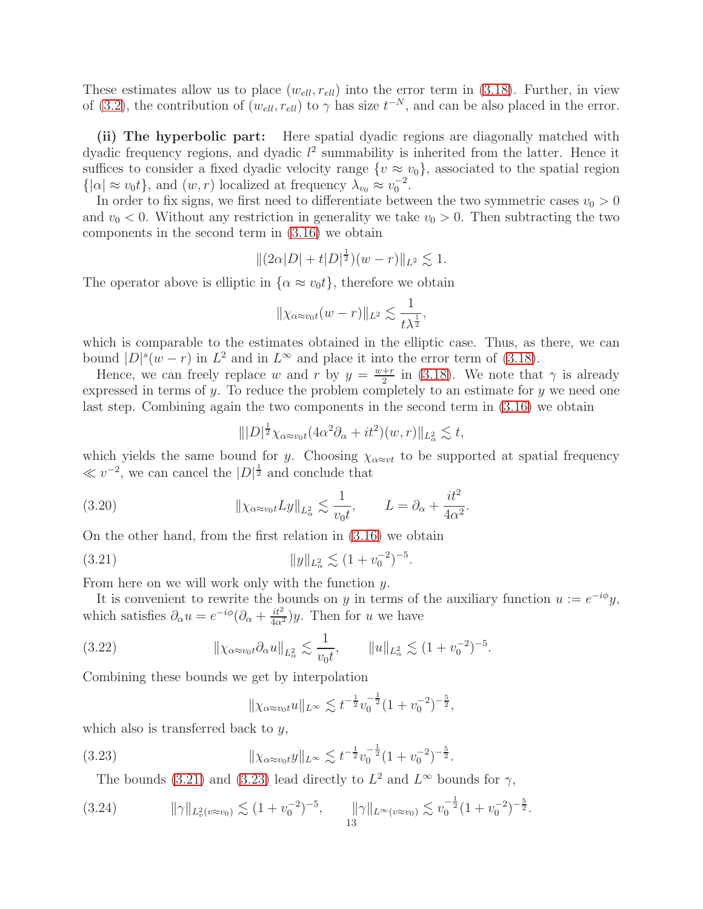These estimates allow us to place  $(w_{ell}, r_{ell})$  into the error term in [\(3.18\)](#page-11-2). Further, in view of [\(3.2\)](#page-8-4), the contribution of  $(w_{ell}, r_{ell})$  to  $\gamma$  has size  $t^{-N}$ , and can be also placed in the error.

(ii) The hyperbolic part: Here spatial dyadic regions are diagonally matched with dyadic frequency regions, and dyadic  $l^2$  summability is inherited from the latter. Hence it suffices to consider a fixed dyadic velocity range  $\{v \approx v_0\}$ , associated to the spatial region  $\{|\alpha| \approx v_0 t\}$ , and  $(w, r)$  localized at frequency  $\lambda_{v_0} \approx v_0^{-2}$ .

In order to fix signs, we first need to differentiate between the two symmetric cases  $v_0 > 0$ and  $v_0 < 0$ . Without any restriction in generality we take  $v_0 > 0$ . Then subtracting the two components in the second term in [\(3.16\)](#page-11-1) we obtain

$$
||(2\alpha|D|+t|D|^{\frac{1}{2}})(w-r)||_{L^2}\lesssim 1.
$$

The operator above is elliptic in  $\{\alpha \approx v_0 t\}$ , therefore we obtain

$$
\|\chi_{\alpha \approx v_0 t}(w-r)\|_{L^2} \lesssim \frac{1}{t\lambda^{\frac{1}{2}}},
$$

which is comparable to the estimates obtained in the elliptic case. Thus, as there, we can bound  $|D|^s(w-r)$  in  $L^2$  and in  $L^{\infty}$  and place it into the error term of [\(3.18\)](#page-11-2).

Hence, we can freely replace w and r by  $y = \frac{w+r}{2}$  $\frac{+r}{2}$  in [\(3.18\)](#page-11-2). We note that  $\gamma$  is already expressed in terms of  $y$ . To reduce the problem completely to an estimate for  $y$  we need one last step. Combining again the two components in the second term in [\(3.16\)](#page-11-1) we obtain

<span id="page-12-4"></span>
$$
\| |D|^{\frac{1}{2}} \chi_{\alpha \approx v_0 t} (4\alpha^2 \partial_\alpha + it^2)(w, r) \|_{L^2_\alpha} \lesssim t,
$$

which yields the same bound for y. Choosing  $\chi_{\alpha \approx vt}$  to be supported at spatial frequency  $\ll v^{-2}$ , we can cancel the  $|D|^{\frac{1}{2}}$  and conclude that

(3.20) 
$$
\|\chi_{\alpha \approx v_0 t} L y\|_{L^2_{\alpha}} \lesssim \frac{1}{v_0 t}, \qquad L = \partial_{\alpha} + \frac{it^2}{4\alpha^2}.
$$

On the other hand, from the first relation in [\(3.16\)](#page-11-1) we obtain

$$
(3.21) \t\t\t ||y||_{L^2_{\alpha}} \lesssim (1 + v_0^{-2})^{-5}
$$

From here on we will work only with the function y.

It is convenient to rewrite the bounds on y in terms of the auxiliary function  $u := e^{-i\phi}y$ , which satisfies  $\partial_{\alpha} u = e^{-i\phi} (\partial_{\alpha} + \frac{it^2}{4\alpha^2}) y$ . Then for u we have

<span id="page-12-0"></span>.

(3.22) 
$$
\|\chi_{\alpha \approx v_0 t} \partial_\alpha u\|_{L^2_\alpha} \lesssim \frac{1}{v_0 t}, \qquad \|u\|_{L^2_\alpha} \lesssim (1 + v_0^{-2})^{-5}.
$$

Combining these bounds we get by interpolation

<span id="page-12-2"></span><span id="page-12-1"></span>
$$
\|\chi_{\alpha \approx v_0 t} u\|_{L^\infty} \lesssim t^{-\frac{1}{2}} v_0^{-\frac{1}{2}} (1 + v_0^{-2})^{-\frac{5}{2}},
$$

which also is transferred back to  $y$ ,

(3.23) kχα≈v0<sup>t</sup>ykL<sup>∞</sup> . t − <sup>1</sup> 2 v − 1 2 0 (1 + v −2 0 ) − <sup>5</sup> 2 .

<span id="page-12-3"></span>The bounds [\(3.21\)](#page-12-0) and [\(3.23\)](#page-12-1) lead directly to  $L^2$  and  $L^{\infty}$  bounds for  $\gamma$ ,

$$
(3.24) \t\t ||\gamma||_{L_v^2(v\approx v_0)} \lesssim (1+v_0^{-2})^{-5}, \t ||\gamma||_{L^\infty(v\approx v_0)} \lesssim v_0^{-\frac{1}{2}}(1+v_0^{-2})^{-\frac{5}{2}}.
$$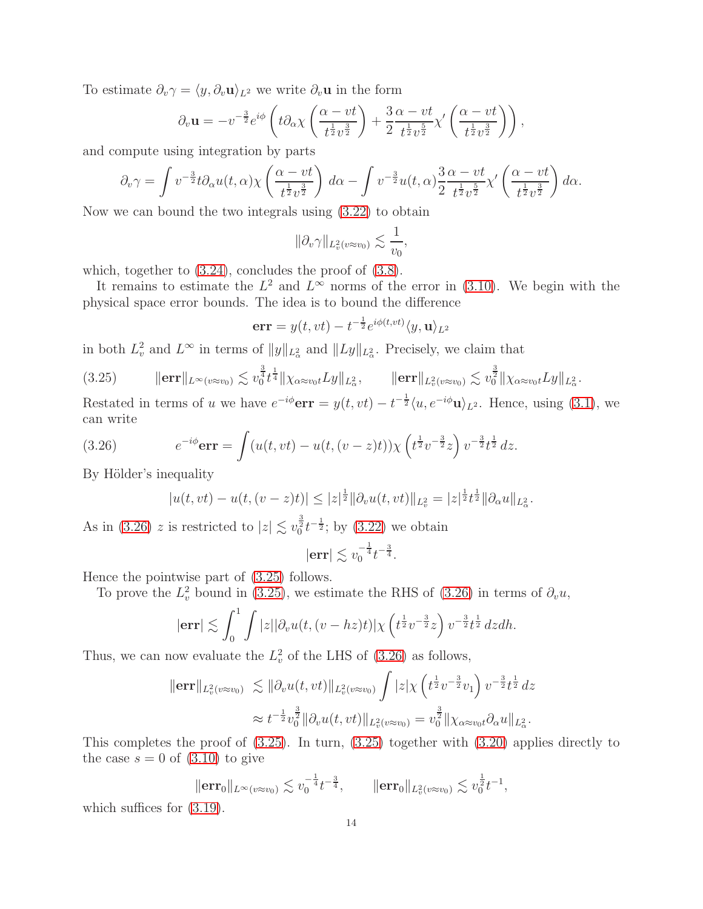To estimate  $\partial_v \gamma = \langle y, \partial_v \mathbf{u} \rangle_{L^2}$  we write  $\partial_v \mathbf{u}$  in the form

$$
\partial_v \mathbf{u} = -v^{-\frac{3}{2}} e^{i\phi} \left( t \partial_\alpha \chi \left( \frac{\alpha - vt}{t^{\frac{1}{2}} v^{\frac{3}{2}}} \right) + \frac{3}{2} \frac{\alpha - vt}{t^{\frac{1}{2}} v^{\frac{5}{2}}} \chi' \left( \frac{\alpha - vt}{t^{\frac{1}{2}} v^{\frac{3}{2}}} \right) \right),
$$

and compute using integration by parts

$$
\partial_v \gamma = \int v^{-\frac{3}{2}} t \partial_\alpha u(t, \alpha) \chi \left( \frac{\alpha - vt}{t^{\frac{1}{2}} v^{\frac{3}{2}}} \right) d\alpha - \int v^{-\frac{3}{2}} u(t, \alpha) \frac{3}{2} \frac{\alpha - vt}{t^{\frac{1}{2}} v^{\frac{5}{2}}} \chi' \left( \frac{\alpha - vt}{t^{\frac{1}{2}} v^{\frac{3}{2}}} \right) d\alpha.
$$

Now we can bound the two integrals using [\(3.22\)](#page-12-2) to obtain

$$
\|\partial_v \gamma\|_{L^2_v(v\approx v_0)} \lesssim \frac{1}{v_0},
$$

which, together to  $(3.24)$ , concludes the proof of  $(3.8)$ .

It remains to estimate the  $L^2$  and  $L^{\infty}$  norms of the error in [\(3.10\)](#page-9-1). We begin with the physical space error bounds. The idea is to bound the difference

$$
\mathbf{err} = y(t, vt) - t^{-\frac{1}{2}} e^{i\phi(t, vt)} \langle y, \mathbf{u} \rangle_{L^2}
$$

in both  $L_v^2$  and  $L^{\infty}$  in terms of  $||y||_{L^2_{\alpha}}$  and  $||Ly||_{L^2_{\alpha}}$ . Precisely, we claim that

<span id="page-13-1"></span>(3.25) kerrkL∞(v≈v0) . v 3 4 0 t 1 <sup>4</sup> kχα≈v0<sup>t</sup>LykL<sup>2</sup> α , kerrkL<sup>2</sup> v (v≈v0) . v 3 2 <sup>0</sup> kχα≈v0<sup>t</sup>LykL<sup>2</sup> α .

Restated in terms of u we have  $e^{-i\phi}$ **err** =  $y(t, vt) - t^{-\frac{1}{2}} \langle u, e^{-i\phi} \mathbf{u} \rangle_{L^2}$ . Hence, using [\(3.1\)](#page-7-3), we can write

(3.26) 
$$
e^{-i\phi}\mathbf{err} = \int (u(t, vt) - u(t, (v-z)t)) \chi\left(t^{\frac{1}{2}}v^{-\frac{3}{2}}z\right)v^{-\frac{3}{2}}t^{\frac{1}{2}} dz.
$$

By Hölder's inequality

<span id="page-13-0"></span>
$$
|u(t, vt) - u(t, (v - z)t)| \leq |z|^{\frac{1}{2}} ||\partial_v u(t, vt)||_{L^2_v} = |z|^{\frac{1}{2}} t^{\frac{1}{2}} ||\partial_\alpha u||_{L^2_v}.
$$

As in [\(3.26\)](#page-13-0) z is restricted to  $|z| \lesssim v_0^{\frac{3}{2}} t^{-\frac{1}{2}}$ ; by [\(3.22\)](#page-12-2) we obtain

$$
|\text{err}| \lesssim v_0^{-\frac{1}{4}}t^{-\frac{3}{4}}.
$$

Hence the pointwise part of [\(3.25\)](#page-13-1) follows.

To prove the  $L_v^2$  bound in [\(3.25\)](#page-13-1), we estimate the RHS of [\(3.26\)](#page-13-0) in terms of  $\partial_v u$ ,

$$
|\mathbf{err}| \lesssim \int_0^1 \int |z| |\partial_v u(t, (v - hz)t)| \chi\left(t^{\frac{1}{2}} v^{-\frac{3}{2}} z\right) v^{-\frac{3}{2}} t^{\frac{1}{2}} dz dh.
$$

Thus, we can now evaluate the  $L_v^2$  of the LHS of [\(3.26\)](#page-13-0) as follows,

$$
\|\text{err}\|_{L_v^2(v\approx v_0)} \lesssim \|\partial_v u(t, vt)\|_{L_v^2(v\approx v_0)} \int |z| \chi\left(t^{\frac{1}{2}} v^{-\frac{3}{2}} v_1\right) v^{-\frac{3}{2}} t^{\frac{1}{2}} dz
$$
  

$$
\approx t^{-\frac{1}{2}} v_0^{\frac{3}{2}} \|\partial_v u(t, vt)\|_{L_v^2(v\approx v_0)} = v_0^{\frac{3}{2}} \|\chi_{\alpha \approx v_0 t} \partial_\alpha u\|_{L_\alpha^2}.
$$

This completes the proof of [\(3.25\)](#page-13-1). In turn, [\(3.25\)](#page-13-1) together with [\(3.20\)](#page-12-4) applies directly to the case  $s = 0$  of  $(3.10)$  to give

$$
\|\mathbf{err}_0\|_{L^{\infty}(v\approx v_0)} \lesssim v_0^{-\frac{1}{4}}t^{-\frac{3}{4}}, \qquad \|\mathbf{err}_0\|_{L^2_v(v\approx v_0)} \lesssim v_0^{\frac{1}{2}}t^{-1},
$$

which suffices for [\(3.19\)](#page-11-3).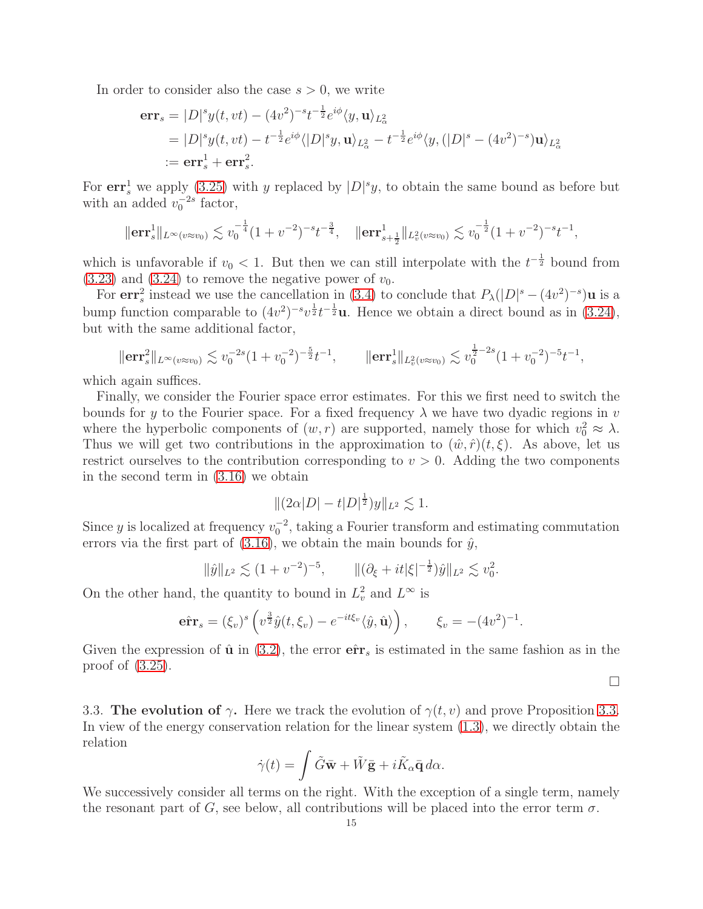In order to consider also the case  $s > 0$ , we write

$$
\begin{split} \mathbf{err}_{s} &= |D|^{s} y(t, vt) - (4v^{2})^{-s} t^{-\frac{1}{2}} e^{i\phi} \langle y, \mathbf{u} \rangle_{L_{\alpha}^{2}} \\ &= |D|^{s} y(t, vt) - t^{-\frac{1}{2}} e^{i\phi} \langle |D|^{s} y, \mathbf{u} \rangle_{L_{\alpha}^{2}} - t^{-\frac{1}{2}} e^{i\phi} \langle y, (|D|^{s} - (4v^{2})^{-s}) \mathbf{u} \rangle_{L_{\alpha}^{2}} \\ &:= \mathbf{err}_{s}^{1} + \mathbf{err}_{s}^{2} .\end{split}
$$

For  $err_s^1$  we apply [\(3.25\)](#page-13-1) with y replaced by  $|D|^s y$ , to obtain the same bound as before but with an added  $v_0^{-2s}$  factor,

$$
\|\mathbf{err}_s^1\|_{L^{\infty}(v\approx v_0)} \lesssim v_0^{-\frac{1}{4}} (1+v^{-2})^{-s}t^{-\frac{3}{4}}, \quad \|\mathbf{err}_{s+\frac{1}{2}}^1\|_{L^2_v(v\approx v_0)} \lesssim v_0^{-\frac{1}{2}} (1+v^{-2})^{-s}t^{-1},
$$

which is unfavorable if  $v_0 < 1$ . But then we can still interpolate with the  $t^{-\frac{1}{2}}$  bound from  $(3.23)$  and  $(3.24)$  to remove the negative power of  $v_0$ .

For  $\mathbf{err}_s^2$  instead we use the cancellation in [\(3.4\)](#page-8-5) to conclude that  $P_\lambda(|D|^s - (4v^2)^{-s})\mathbf{u}$  is a bump function comparable to  $(4v^2)^{-s}v^{\frac{1}{2}}t^{-\frac{1}{2}}u$ . Hence we obtain a direct bound as in [\(3.24\)](#page-12-3), but with the same additional factor,

$$
\|\mathbf{err}_s^2\|_{L^\infty(v\approx v_0)} \lesssim v_0^{-2s} (1+v_0^{-2})^{-\frac{5}{2}} t^{-1}, \qquad \|\mathbf{err}_s^1\|_{L^2_v(v\approx v_0)} \lesssim v_0^{\frac{1}{2}-2s} (1+v_0^{-2})^{-5} t^{-1},
$$

which again suffices.

Finally, we consider the Fourier space error estimates. For this we first need to switch the bounds for y to the Fourier space. For a fixed frequency  $\lambda$  we have two dyadic regions in v where the hyperbolic components of  $(w, r)$  are supported, namely those for which  $v_0^2 \approx \lambda$ . Thus we will get two contributions in the approximation to  $(\hat{w}, \hat{r})(t, \xi)$ . As above, let us restrict ourselves to the contribution corresponding to  $v > 0$ . Adding the two components in the second term in [\(3.16\)](#page-11-1) we obtain

$$
\|(2\alpha|D|-t|D|^{\frac{1}{2}})y\|_{L^2}\lesssim 1.
$$

Since y is localized at frequency  $v_0^{-2}$ , taking a Fourier transform and estimating commutation errors via the first part of  $(3.16)$ , we obtain the main bounds for  $\hat{y}$ ,

$$
\|\hat{y}\|_{L^2} \lesssim (1+v^{-2})^{-5}, \qquad \|(\partial_{\xi} + it|\xi|^{-\frac{1}{2}})\hat{y}\|_{L^2} \lesssim v_0^2.
$$

On the other hand, the quantity to bound in  $L_v^2$  and  $L^{\infty}$  is

$$
\hat{\mathbf{err}}_s = (\xi_v)^s \left( v^{\frac{3}{2}} \hat{y}(t, \xi_v) - e^{-it\xi_v} \langle \hat{y}, \hat{\mathbf{u}} \rangle \right), \qquad \xi_v = -(4v^2)^{-1}.
$$

Given the expression of  $\hat{u}$  in [\(3.2\)](#page-8-4), the error  $\hat{\textbf{err}}_s$  is estimated in the same fashion as in the proof of [\(3.25\)](#page-13-1).

 $\Box$ 

3.3. The evolution of  $\gamma$ . Here we track the evolution of  $\gamma(t, v)$  and prove Proposition [3.3.](#page-9-6) In view of the energy conservation relation for the linear system [\(1.3\)](#page-2-0), we directly obtain the relation

$$
\dot{\gamma}(t) = \int \tilde{G}\bar{\mathbf{w}} + \tilde{W}\bar{\mathbf{g}} + i\tilde{K}_{\alpha}\bar{\mathbf{q}}\,d\alpha.
$$

We successively consider all terms on the right. With the exception of a single term, namely the resonant part of G, see below, all contributions will be placed into the error term  $\sigma$ .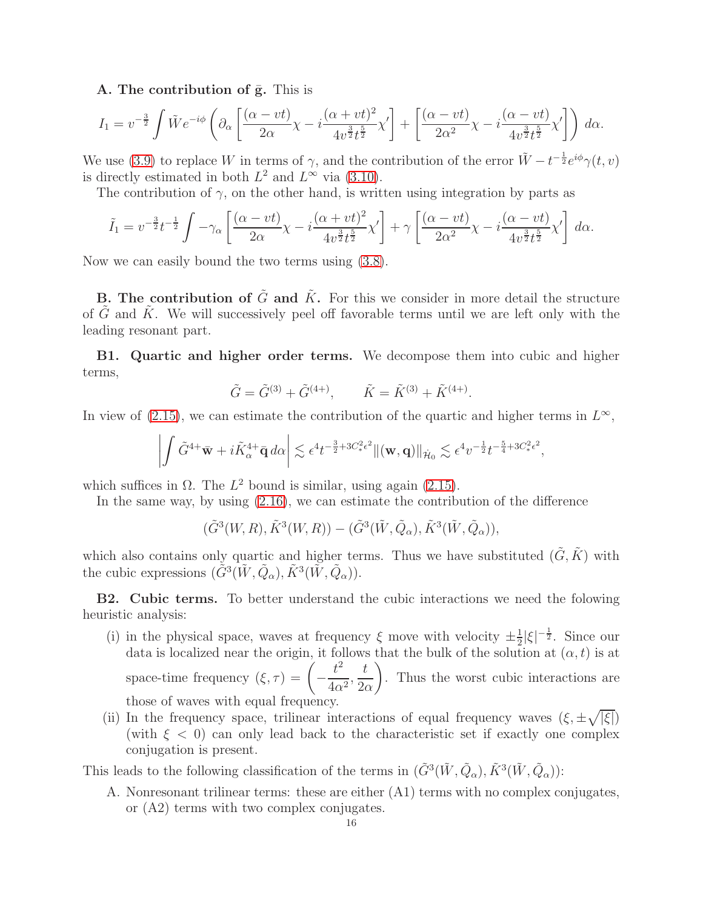A. The contribution of  $\bar{g}$ . This is

$$
I_1 = v^{-\frac{3}{2}} \int \tilde{W} e^{-i\phi} \left( \partial_\alpha \left[ \frac{(\alpha - vt)}{2\alpha} \chi - i \frac{(\alpha + vt)^2}{4v^{\frac{3}{2}} t^{\frac{5}{2}}} \chi' \right] + \left[ \frac{(\alpha - vt)}{2\alpha^2} \chi - i \frac{(\alpha - vt)}{4v^{\frac{3}{2}} t^{\frac{5}{2}}} \chi' \right] \right) d\alpha.
$$

We use [\(3.9\)](#page-9-0) to replace W in terms of  $\gamma$ , and the contribution of the error  $\tilde{W} - t^{-\frac{1}{2}} e^{i\phi} \gamma(t, v)$ is directly estimated in both  $L^2$  and  $L^{\infty}$  via [\(3.10\)](#page-9-1).

The contribution of  $\gamma$ , on the other hand, is written using integration by parts as

$$
\tilde{I}_1 = v^{-\frac{3}{2}}t^{-\frac{1}{2}} \int -\gamma_\alpha \left[ \frac{(\alpha - vt)}{2\alpha} \chi - i \frac{(\alpha + vt)^2}{4v^{\frac{3}{2}}t^{\frac{5}{2}}} \chi' \right] + \gamma \left[ \frac{(\alpha - vt)}{2\alpha^2} \chi - i \frac{(\alpha - vt)}{4v^{\frac{3}{2}}t^{\frac{5}{2}}} \chi' \right] d\alpha.
$$

Now we can easily bound the two terms using [\(3.8\)](#page-9-5).

**B.** The contribution of  $\tilde{G}$  and  $\tilde{K}$ . For this we consider in more detail the structure of G and K. We will successively peel off favorable terms until we are left only with the leading resonant part.

B1. Quartic and higher order terms. We decompose them into cubic and higher terms,

$$
\tilde{G} = \tilde{G}^{(3)} + \tilde{G}^{(4+)}, \qquad \tilde{K} = \tilde{K}^{(3)} + \tilde{K}^{(4+)}.
$$

In view of [\(2.15\)](#page-7-1), we can estimate the contribution of the quartic and higher terms in  $L^{\infty}$ ,

$$
\left| \int \tilde{G}^{4+} \bar{\mathbf{w}} + i \tilde{K}_{\alpha}^{4+} \bar{\mathbf{q}} \, d\alpha \right| \lesssim \epsilon^4 t^{-\frac{3}{2}+3C_*^2 \epsilon^2} \|(\mathbf{w}, \mathbf{q})\|_{\dot{\mathcal{H}}_0} \lesssim \epsilon^4 v^{-\frac{1}{2}} t^{-\frac{5}{4}+3C_*^2 \epsilon^2},
$$

which suffices in  $\Omega$ . The  $L^2$  bound is similar, using again [\(2.15\)](#page-7-1).

In the same way, by using [\(2.16\)](#page-7-2), we can estimate the contribution of the difference

 $(\tilde{G}^3(W,R), \tilde{K}^3(W,R)) - (\tilde{G}^3(\tilde{W}, \tilde{Q}_\alpha), \tilde{K}^3(\tilde{W}, \tilde{Q}_\alpha)),$ 

which also contains only quartic and higher terms. Thus we have substituted  $(\tilde{G}, \tilde{K})$  with the cubic expressions  $(\tilde{G}^3(\tilde{W}, \tilde{Q}_\alpha), \tilde{K}^3(\tilde{W}, \tilde{Q}_\alpha)).$ 

B2. Cubic terms. To better understand the cubic interactions we need the folowing heuristic analysis:

- (i) in the physical space, waves at frequency  $\xi$  move with velocity  $\pm \frac{1}{2}$  $\frac{1}{2}|\xi|^{-\frac{1}{2}}$ . Since our data is localized near the origin, it follows that the bulk of the solution at  $(\alpha, t)$  is at space-time frequency  $(\xi, \tau) =$   $\Big(-\frac{\tau}{\sqrt{2\pi}}\Big)$  $t^2$  $\frac{c}{4\alpha^2}$ t  $2\alpha$  $\setminus$ . Thus the worst cubic interactions are those of waves with equal frequency.
- (ii) In the frequency space, trilinear interactions of equal frequency waves  $(\xi, \pm \sqrt{|\xi|})$ (with  $\xi$  < 0) can only lead back to the characteristic set if exactly one complex conjugation is present.

This leads to the following classification of the terms in  $(\tilde{G}^3(\tilde{W}, \tilde{Q}_\alpha), \tilde{K}^3(\tilde{W}, \tilde{Q}_\alpha))$ :

A. Nonresonant trilinear terms: these are either (A1) terms with no complex conjugates, or (A2) terms with two complex conjugates.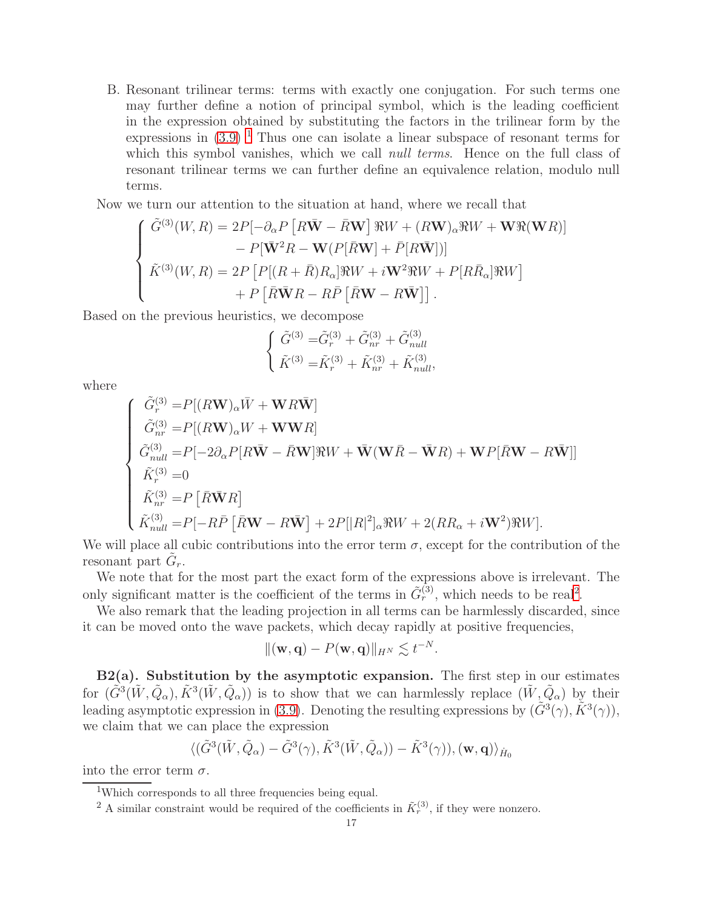B. Resonant trilinear terms: terms with exactly one conjugation. For such terms one may further define a notion of principal symbol, which is the leading coefficient in the expression obtained by substituting the factors in the trilinear form by the expressions in  $(3.9)^{-1}$  $(3.9)^{-1}$  $(3.9)^{-1}$  Thus one can isolate a linear subspace of resonant terms for which this symbol vanishes, which we call *null terms*. Hence on the full class of resonant trilinear terms we can further define an equivalence relation, modulo null terms.

Now we turn our attention to the situation at hand, where we recall that

$$
\begin{cases}\n\tilde{G}^{(3)}(W,R) = 2P[-\partial_{\alpha}P[R\bar{\mathbf{W}} - \bar{R}\mathbf{W}]\Re W + (R\mathbf{W})_{\alpha}\Re W + \mathbf{W}\Re(\mathbf{W}R)] \\
- P[\bar{\mathbf{W}}^2 R - \mathbf{W}(P[\bar{R}\mathbf{W}] + \bar{P}[R\bar{\mathbf{W}}])] \\
\tilde{K}^{(3)}(W,R) = 2P[P[(R+\bar{R})R_{\alpha}]\Re W + i\mathbf{W}^2\Re W + P[R\bar{R}_{\alpha}]\Re W] \\
+ P[\bar{R}\bar{\mathbf{W}}R - R\bar{P}[\bar{R}\mathbf{W} - R\bar{\mathbf{W}}]].\n\end{cases}
$$

Based on the previous heuristics, we decompose

$$
\left\{ \begin{array}{l} \tilde{G}^{(3)}=\!\tilde{G}^{(3)}_{r}+\tilde{G}^{(3)}_{nr}+\tilde{G}^{(3)}_{null} \\ \tilde{K}^{(3)}=\!\tilde{K}^{(3)}_{r}+\tilde{K}^{(3)}_{nr}+\tilde{K}^{(3)}_{null}, \end{array} \right.
$$

where

$$
\begin{cases}\n\tilde{G}_{r}^{(3)} = P[(R\mathbf{W})_{\alpha}\bar{W} + \mathbf{W}R\bar{\mathbf{W}}] \\
\tilde{G}_{nr}^{(3)} = P[(R\mathbf{W})_{\alpha}W + \mathbf{W}\mathbf{W}R] \\
\tilde{G}_{null}^{(3)} = P[-2\partial_{\alpha}P[R\bar{\mathbf{W}} - \bar{R}\mathbf{W}]\Re W + \bar{\mathbf{W}}(\mathbf{W}\bar{R} - \bar{\mathbf{W}}R) + \mathbf{W}P[\bar{R}\mathbf{W} - R\bar{\mathbf{W}}]] \\
\tilde{K}_{r}^{(3)} = 0 \\
\tilde{K}_{nr}^{(3)} = P[\bar{R}\bar{\mathbf{W}}R] \\
\tilde{K}_{null}^{(3)} = P[-R\bar{P}[\bar{R}\mathbf{W} - R\bar{\mathbf{W}}] + 2P[|R|^{2}]_{\alpha}\Re W + 2(RR_{\alpha} + i\mathbf{W}^{2})\Re W].\n\end{cases}
$$

We will place all cubic contributions into the error term  $\sigma$ , except for the contribution of the resonant part  $\tilde{G}_r$ .

We note that for the most part the exact form of the expressions above is irrelevant. The only significant matter is the coefficient of the terms in  $\tilde{G}_r^{(3)}$ , which needs to be real<sup>[2](#page-16-1)</sup>.

We also remark that the leading projection in all terms can be harmlessly discarded, since it can be moved onto the wave packets, which decay rapidly at positive frequencies,

$$
\|(\mathbf{w},\mathbf{q})-P(\mathbf{w},\mathbf{q})\|_{H^N}\lesssim t^{-N}.
$$

 $B2(a)$ . Substitution by the asymptotic expansion. The first step in our estimates for  $(\tilde{G}^3(\tilde{W}, \tilde{Q}_\alpha), \tilde{K}^3(\tilde{W}, \tilde{Q}_\alpha))$  is to show that we can harmlessly replace  $(\tilde{W}, \tilde{Q}_\alpha)$  by their leading asymptotic expression in [\(3.9\)](#page-9-0). Denoting the resulting expressions by  $(\tilde{G}^3(\gamma), \tilde{K}^3(\gamma)),$ we claim that we can place the expression

$$
\langle (\tilde{G}^3(\tilde{W}, \tilde{Q}_{\alpha}) - \tilde{G}^3(\gamma), \tilde{K}^3(\tilde{W}, \tilde{Q}_{\alpha})) - \tilde{K}^3(\gamma) \rangle, (\mathbf{w}, \mathbf{q}) \rangle_{\dot{H}_0}
$$

into the error term  $\sigma$ .

<sup>&</sup>lt;sup>1</sup>Which corresponds to all three frequencies being equal.

<span id="page-16-1"></span><span id="page-16-0"></span><sup>&</sup>lt;sup>2</sup> A similar constraint would be required of the coefficients in  $\tilde{K}_r^{(3)}$ , if they were nonzero.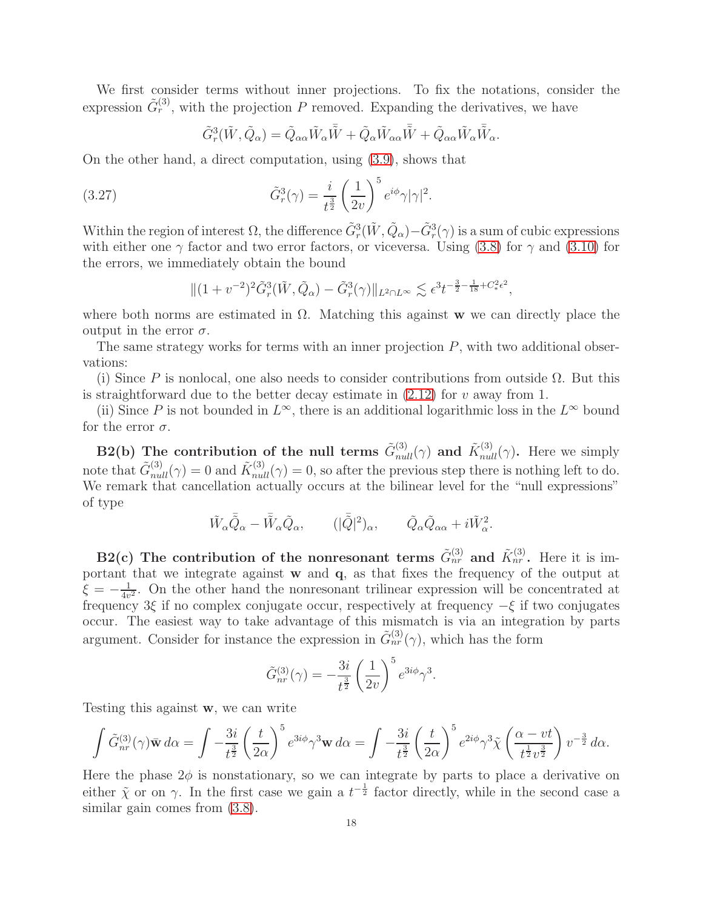We first consider terms without inner projections. To fix the notations, consider the expression  $\tilde{G}_r^{(3)}$ , with the projection P removed. Expanding the derivatives, we have

<span id="page-17-0"></span>
$$
\tilde{G}_{r}^{3}(\tilde{W},\tilde{Q}_{\alpha})=\tilde{Q}_{\alpha\alpha}\tilde{W}_{\alpha}\bar{\tilde{W}}+\tilde{Q}_{\alpha}\tilde{W}_{\alpha\alpha}\bar{\tilde{W}}+\tilde{Q}_{\alpha\alpha}\tilde{W}_{\alpha}\bar{\tilde{W}}_{\alpha}.
$$

On the other hand, a direct computation, using [\(3.9\)](#page-9-0), shows that

(3.27) 
$$
\tilde{G}_r^3(\gamma) = \frac{i}{t^{\frac{3}{2}}} \left(\frac{1}{2v}\right)^5 e^{i\phi} \gamma |\gamma|^2.
$$

Within the region of interest  $\Omega$ , the difference  $\tilde{G}_r^3(\tilde{W}, \tilde{Q}_\alpha) - \tilde{G}_r^3(\gamma)$  is a sum of cubic expressions with either one  $\gamma$  factor and two error factors, or viceversa. Using [\(3.8\)](#page-9-5) for  $\gamma$  and [\(3.10\)](#page-9-1) for the errors, we immediately obtain the bound

$$
\|(1+v^{-2})^2 \tilde{G}_r^3(\tilde{W}, \tilde{Q}_\alpha) - \tilde{G}_r^3(\gamma)\|_{L^2 \cap L^\infty} \lesssim \epsilon^3 t^{-\frac{3}{2}-\frac{1}{18}+C_*^2 \epsilon^2},
$$

where both norms are estimated in  $\Omega$ . Matching this against w we can directly place the output in the error  $\sigma$ .

The same strategy works for terms with an inner projection  $P$ , with two additional observations:

(i) Since P is nonlocal, one also needs to consider contributions from outside  $\Omega$ . But this is straightforward due to the better decay estimate in  $(2.12)$  for v away from 1.

(ii) Since P is not bounded in  $L^{\infty}$ , there is an additional logarithmic loss in the  $L^{\infty}$  bound for the error  $\sigma$ .

B2(b) The contribution of the null terms  $\tilde{G}_{null}^{(3)}(\gamma)$  and  $\tilde{K}_{null}^{(3)}(\gamma)$ . Here we simply note that  $\tilde{G}_{null}^{(3)}(\gamma) = 0$  and  $\tilde{K}_{null}^{(3)}(\gamma) = 0$ , so after the previous step there is nothing left to do. We remark that cancellation actually occurs at the bilinear level for the "null expressions" of type

$$
\tilde{W}_{\alpha}\bar{\tilde{Q}}_{\alpha} - \bar{\tilde{W}}_{\alpha}\tilde{Q}_{\alpha}, \qquad (|\tilde{\tilde{Q}}|^{2})_{\alpha}, \qquad \tilde{Q}_{\alpha}\tilde{Q}_{\alpha\alpha} + i\tilde{W}_{\alpha}^{2}.
$$

B2(c) The contribution of the nonresonant terms  $\tilde{G}_{nr}^{(3)}$  and  $\tilde{K}_{nr}^{(3)}$ . Here it is important that we integrate against  $\bf{w}$  and  $\bf{q}$ , as that fixes the frequency of the output at  $\xi = -\frac{1}{4v}$  $\frac{1}{4v^2}$ . On the other hand the nonresonant trilinear expression will be concentrated at frequency 3ξ if no complex conjugate occur, respectively at frequency  $-\xi$  if two conjugates occur. The easiest way to take advantage of this mismatch is via an integration by parts argument. Consider for instance the expression in  $\tilde{G}_{nr}^{(3)}(\gamma)$ , which has the form

$$
\tilde{G}_{nr}^{(3)}(\gamma) = -\frac{3i}{t^{\frac{3}{2}}} \left(\frac{1}{2v}\right)^5 e^{3i\phi} \gamma^3.
$$

Testing this against w, we can write

$$
\int \tilde{G}_{nr}^{(3)}(\gamma)\bar{\mathbf{w}}\,d\alpha = \int -\frac{3i}{t^{\frac{3}{2}}} \left(\frac{t}{2\alpha}\right)^5 e^{3i\phi}\gamma^3 \mathbf{w}\,d\alpha = \int -\frac{3i}{t^{\frac{3}{2}}} \left(\frac{t}{2\alpha}\right)^5 e^{2i\phi}\gamma^3 \tilde{\chi}\left(\frac{\alpha - vt}{t^{\frac{1}{2}}v^{\frac{3}{2}}}\right)v^{-\frac{3}{2}}d\alpha.
$$

Here the phase  $2\phi$  is nonstationary, so we can integrate by parts to place a derivative on either  $\tilde{\chi}$  or on  $\gamma$ . In the first case we gain a  $t^{-\frac{1}{2}}$  factor directly, while in the second case a similar gain comes from  $(3.8)$ .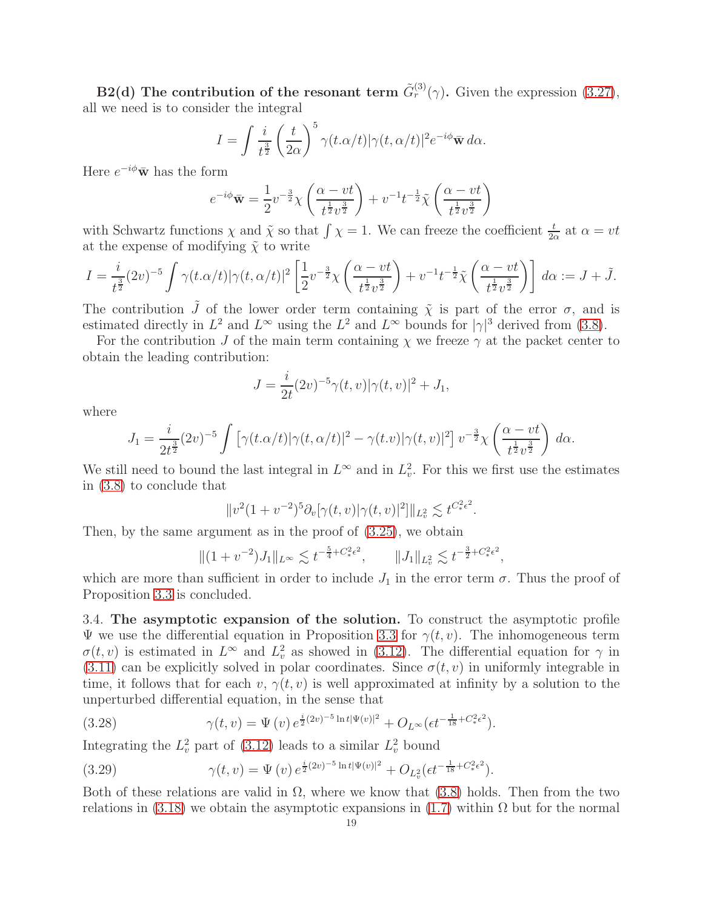B2(d) The contribution of the resonant term  $\tilde{G}^{(3)}_r(\gamma)$ . Given the expression [\(3.27\)](#page-17-0), all we need is to consider the integral

$$
I = \int \frac{i}{t^{\frac{3}{2}}} \left(\frac{t}{2\alpha}\right)^5 \gamma(t.\alpha/t) |\gamma(t,\alpha/t)|^2 e^{-i\phi} \bar{\mathbf{w}} \, d\alpha.
$$

Here  $e^{-i\phi}\bar{\mathbf{w}}$  has the form

$$
e^{-i\phi}\bar{\mathbf{w}} = \frac{1}{2}v^{-\frac{3}{2}}\chi\left(\frac{\alpha - vt}{t^{\frac{1}{2}}v^{\frac{3}{2}}}\right) + v^{-1}t^{-\frac{1}{2}}\tilde{\chi}\left(\frac{\alpha - vt}{t^{\frac{1}{2}}v^{\frac{3}{2}}}\right)
$$

with Schwartz functions  $\chi$  and  $\tilde{\chi}$  so that  $\int \chi = 1$ . We can freeze the coefficient  $\frac{t}{2\alpha}$  at  $\alpha = vt$ at the expense of modifying  $\tilde{\chi}$  to write

$$
I = \frac{i}{t^{\frac{3}{2}}}(2v)^{-5} \int \gamma(t. \alpha/t) |\gamma(t, \alpha/t)|^2 \left[ \frac{1}{2} v^{-\frac{3}{2}} \chi \left( \frac{\alpha - vt}{t^{\frac{1}{2}} v^{\frac{3}{2}}} \right) + v^{-1} t^{-\frac{1}{2}} \tilde{\chi} \left( \frac{\alpha - vt}{t^{\frac{1}{2}} v^{\frac{3}{2}}} \right) \right] d\alpha := J + \tilde{J}.
$$

The contribution  $\tilde{J}$  of the lower order term containing  $\tilde{\chi}$  is part of the error  $\sigma$ , and is estimated directly in  $L^2$  and  $L^\infty$  using the  $L^2$  and  $L^\infty$  bounds for  $|\gamma|^3$  derived from [\(3.8\)](#page-9-5).

For the contribution J of the main term containing  $\chi$  we freeze  $\gamma$  at the packet center to obtain the leading contribution:

$$
J = \frac{i}{2t}(2v)^{-5} \gamma(t, v) |\gamma(t, v)|^2 + J_1,
$$

where

$$
J_1 = \frac{i}{2t^{\frac{3}{2}}}(2v)^{-5} \int \left[ \gamma(t. \alpha/t) |\gamma(t, \alpha/t)|^2 - \gamma(t. v) |\gamma(t, v)|^2 \right] v^{-\frac{3}{2}} \chi\left(\frac{\alpha - vt}{t^{\frac{1}{2}} v^{\frac{3}{2}}}\right) d\alpha.
$$

We still need to bound the last integral in  $L^{\infty}$  and in  $L^{2}_{v}$ . For this we first use the estimates in [\(3.8\)](#page-9-5) to conclude that

$$
||v^{2}(1+v^{-2})^{5}\partial_{v}[\gamma(t,v)|\gamma(t,v)|^{2}]||_{L_{v}^{2}} \lesssim t^{C_{*}^{2}\epsilon^{2}}.
$$

Then, by the same argument as in the proof of [\(3.25\)](#page-13-1), we obtain

$$
||(1 + v^{-2})J_1||_{L^{\infty}} \lesssim t^{-\frac{5}{4} + C_*^2 \epsilon^2}, \qquad ||J_1||_{L^2_v} \lesssim t^{-\frac{3}{2} + C_*^2 \epsilon^2},
$$

which are more than sufficient in order to include  $J_1$  in the error term  $\sigma$ . Thus the proof of Proposition [3.3](#page-9-6) is concluded.

3.4. The asymptotic expansion of the solution. To construct the asymptotic profile Ψ we use the differential equation in Proposition [3.3](#page-9-6) for  $\gamma(t, v)$ . The inhomogeneous term  $\sigma(t, v)$  is estimated in  $L^{\infty}$  and  $L^{2}_{v}$  as showed in [\(3.12\)](#page-9-7). The differential equation for  $\gamma$  in [\(3.11\)](#page-9-2) can be explicitly solved in polar coordinates. Since  $\sigma(t, v)$  in uniformly integrable in time, it follows that for each v,  $\gamma(t, v)$  is well approximated at infinity by a solution to the unperturbed differential equation, in the sense that

<span id="page-18-0"></span>(3.28) 
$$
\gamma(t,v) = \Psi(v) e^{\frac{i}{2}(2v)^{-5} \ln t |\Psi(v)|^2} + O_{L^{\infty}}(\epsilon t^{-\frac{1}{18} + C_*^2 \epsilon^2}).
$$

Integrating the  $L_v^2$  part of [\(3.12\)](#page-9-7) leads to a similar  $L_v^2$  bound

<span id="page-18-1"></span>(3.29) 
$$
\gamma(t,v) = \Psi(v) e^{\frac{i}{2}(2v)^{-5} \ln t |\Psi(v)|^2} + O_{L^2_v}(\epsilon t^{-\frac{1}{18} + C_*^2 \epsilon^2}).
$$

Both of these relations are valid in  $\Omega$ , where we know that [\(3.8\)](#page-9-5) holds. Then from the two relations in [\(3.18\)](#page-11-2) we obtain the asymptotic expansions in [\(1.7\)](#page-4-2) within  $\Omega$  but for the normal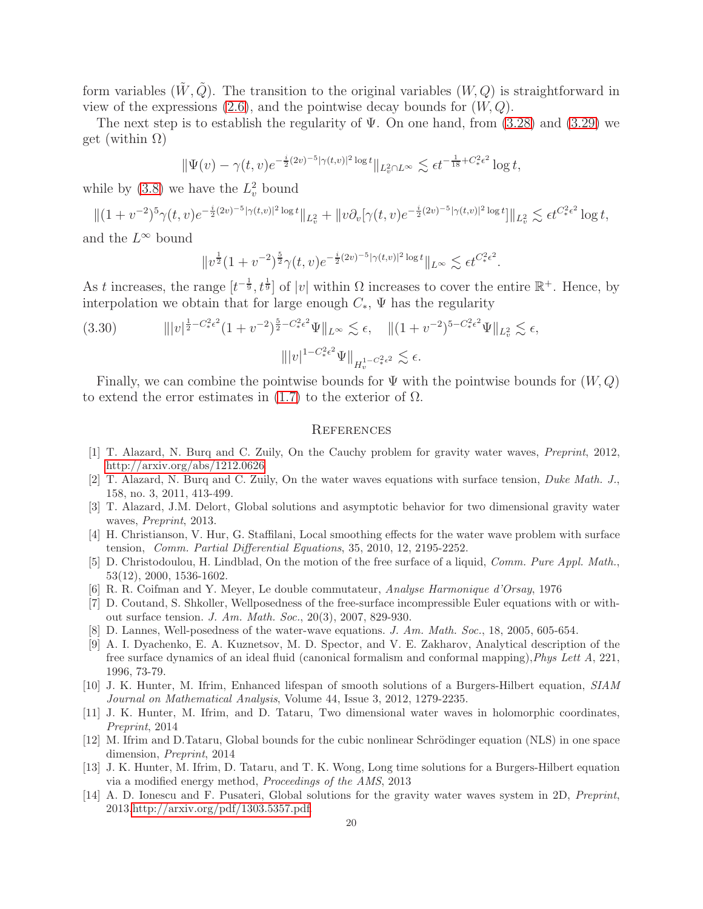form variables  $(\tilde{W}, \tilde{Q})$ . The transition to the original variables  $(W, Q)$  is straightforward in view of the expressions  $(2.6)$ , and the pointwise decay bounds for  $(W, Q)$ .

The next step is to establish the regularity of  $\Psi$ . On one hand, from [\(3.28\)](#page-18-0) and [\(3.29\)](#page-18-1) we get (within  $\Omega$ )

$$
\|\Psi(v) - \gamma(t, v)e^{-\frac{i}{2}(2v)^{-5}|\gamma(t, v)|^2 \log t} \|_{L_v^2 \cap L^\infty} \lesssim \epsilon t^{-\frac{1}{18} + C_*^2 \epsilon^2} \log t,
$$

while by [\(3.8\)](#page-9-5) we have the  $L_v^2$  bound

 $||(1 + v^{-2})^5 \gamma(t, v)e^{-\frac{i}{2}(2v)^{-5}|\gamma(t, v)|^2 \log t}||_{L^2_v} + ||v \partial_v[\gamma(t, v)e^{-\frac{i}{2}(2v)^{-5}|\gamma(t, v)|^2 \log t}]||_{L^2_v} \lesssim \epsilon t^{C^2_* \epsilon^2} \log t,$ 

and the  $L^{\infty}$  bound

$$
||v^{\frac{1}{2}}(1+v^{-2})^{\frac{5}{2}}\gamma(t,v)e^{-\frac{i}{2}(2v)^{-5}|\gamma(t,v)|^2\log t}||_{L^{\infty}} \lesssim \epsilon t^{C_*^2\epsilon^2}.
$$

As t increases, the range  $[t^{-\frac{1}{9}}, t^{\frac{1}{9}}]$  of |v| within  $\Omega$  increases to cover the entire  $\mathbb{R}^+$ . Hence, by interpolation we obtain that for large enough  $C_*$ ,  $\Psi$  has the regularity

(3.30) 
$$
\| |v|^{\frac{1}{2} - C_{*}^{2} \epsilon^{2}} (1 + v^{-2})^{\frac{5}{2} - C_{*}^{2} \epsilon^{2}} \Psi \|_{L^{\infty}} \lesssim \epsilon, \quad \| (1 + v^{-2})^{5 - C_{*}^{2} \epsilon^{2}} \Psi \|_{L^{2}_{v}} \lesssim \epsilon,
$$

$$
\| |v|^{1 - C_{*}^{2} \epsilon^{2}} \Psi \|_{H_{v}^{1 - C_{*}^{2} \epsilon^{2}}} \lesssim \epsilon.
$$

Finally, we can combine the pointwise bounds for  $\Psi$  with the pointwise bounds for  $(W, Q)$ to extend the error estimates in  $(1.7)$  to the exterior of  $\Omega$ .

#### **REFERENCES**

- <span id="page-19-3"></span>[1] T. Alazard, N. Burq and C. Zuily, On the Cauchy problem for gravity water waves, Preprint, 2012, http://arxiv.org/abs/1212.0626.
- <span id="page-19-4"></span>[2] T. Alazard, N. Burq and C. Zuily, On the water waves equations with surface tension, Duke Math. J., 158, no. 3, 2011, 413-499.
- <span id="page-19-1"></span>[3] T. Alazard, J.M. Delort, Global solutions and asymptotic behavior for two dimensional gravity water waves, *Preprint*, 2013.
- <span id="page-19-5"></span>[4] H. Christianson, V. Hur, G. Staffilani, Local smoothing effects for the water wave problem with surface tension, Comm. Partial Differential Equations, 35, 2010, 12, 2195-2252.
- <span id="page-19-6"></span>[5] D. Christodoulou, H. Lindblad, On the motion of the free surface of a liquid, Comm. Pure Appl. Math., 53(12), 2000, 1536-1602.
- <span id="page-19-7"></span>[6] R. R. Coifman and Y. Meyer, Le double commutateur, Analyse Harmonique d'Orsay, 1976
- [7] D. Coutand, S. Shkoller, Wellposedness of the free-surface incompressible Euler equations with or without surface tension. J. Am. Math. Soc., 20(3), 2007, 829-930.
- <span id="page-19-8"></span>[8] D. Lannes, Well-posedness of the water-wave equations. J. Am. Math. Soc., 18, 2005, 605-654.
- [9] A. I. Dyachenko, E. A. Kuznetsov, M. D. Spector, and V. E. Zakharov, Analytical description of the free surface dynamics of an ideal fluid (canonical formalism and conformal mapping),Phys Lett A, 221, 1996, 73-79.
- [10] J. K. Hunter, M. Ifrim, Enhanced lifespan of smooth solutions of a Burgers-Hilbert equation, SIAM Journal on Mathematical Analysis, Volume 44, Issue 3, 2012, 1279-2235.
- <span id="page-19-0"></span>[11] J. K. Hunter, M. Ifrim, and D. Tataru, Two dimensional water waves in holomorphic coordinates, Preprint, 2014
- <span id="page-19-10"></span>[12] M. Ifrim and D.Tataru, Global bounds for the cubic nonlinear Schrödinger equation (NLS) in one space dimension, Preprint, 2014
- <span id="page-19-9"></span>[13] J. K. Hunter, M. Ifrim, D. Tataru, and T. K. Wong, Long time solutions for a Burgers-Hilbert equation via a modified energy method, Proceedings of the AMS, 2013
- <span id="page-19-2"></span>[14] A. D. Ionescu and F. Pusateri, Global solutions for the gravity water waves system in 2D, Preprint, 2013,http://arxiv.org/pdf/1303.5357.pdf.